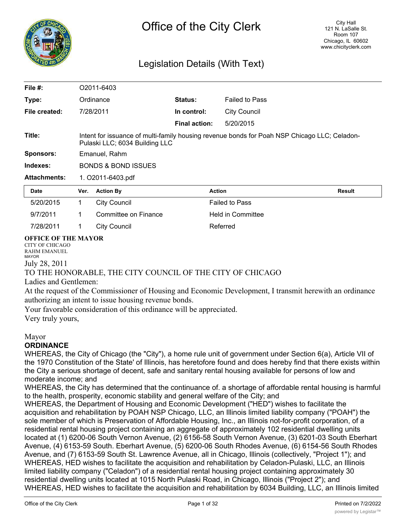

# Legislation Details (With Text)

| File $#$ :          |                                                                                                                                | O2011-6403           |                      |                          |               |  |
|---------------------|--------------------------------------------------------------------------------------------------------------------------------|----------------------|----------------------|--------------------------|---------------|--|
| Type:               |                                                                                                                                | Ordinance            | Status:              | <b>Failed to Pass</b>    |               |  |
| File created:       |                                                                                                                                | 7/28/2011            | In control:          | <b>City Council</b>      |               |  |
|                     |                                                                                                                                |                      | <b>Final action:</b> | 5/20/2015                |               |  |
| Title:              | Intent for issuance of multi-family housing revenue bonds for Poah NSP Chicago LLC; Celadon-<br>Pulaski LLC; 6034 Building LLC |                      |                      |                          |               |  |
| <b>Sponsors:</b>    | Emanuel, Rahm                                                                                                                  |                      |                      |                          |               |  |
| Indexes:            | <b>BONDS &amp; BOND ISSUES</b>                                                                                                 |                      |                      |                          |               |  |
| <b>Attachments:</b> | 1. O2011-6403.pdf                                                                                                              |                      |                      |                          |               |  |
| <b>Date</b>         | Ver.                                                                                                                           | <b>Action By</b>     |                      | <b>Action</b>            | <b>Result</b> |  |
| 5/20/2015           | 1.                                                                                                                             | <b>City Council</b>  |                      | <b>Failed to Pass</b>    |               |  |
| 9/7/2011            | 1                                                                                                                              | Committee on Finance |                      | <b>Held in Committee</b> |               |  |
| 7/28/2011           | 1                                                                                                                              | <b>City Council</b>  |                      | Referred                 |               |  |

#### **OFFICE OF THE MAYOR**

CITY OF CHICAGO RAHM EMANUEL MAYOR July 28, 2011

## TO THE HONORABLE, THE CITY COUNCIL OF THE CITY OF CHICAGO

#### Ladies and Gentlemen:

At the request of the Commissioner of Housing and Economic Development, I transmit herewith an ordinance authorizing an intent to issue housing revenue bonds.

Your favorable consideration of this ordinance will be appreciated.

Very truly yours,

## Mayor

## **ORDINANCE**

WHEREAS, the City of Chicago (the "City"), a home rule unit of government under Section 6(a), Article VII of the 1970 Constitution of the State' of Illinois, has heretofore found and does hereby find that there exists within the City a serious shortage of decent, safe and sanitary rental housing available for persons of low and moderate income; and

WHEREAS, the City has determined that the continuance of. a shortage of affordable rental housing is harmful to the health, prosperity, economic stability and general welfare of the City; and

WHEREAS, the Department of Housing and Economic Development ("HED") wishes to facilitate the acquisition and rehabilitation by POAH NSP Chicago, LLC, an Illinois limited liability company ("POAH") the sole member of which is Preservation of Affordable Housing, Inc., an Illinois not-for-profit corporation, of a residential rental housing project containing an aggregate of approximately 102 residential dwelling units located at (1) 6200-06 South Vernon Avenue, (2) 6156-58 South Vernon Avenue, (3) 6201-03 South Eberhart Avenue, (4) 6153-59 South. Eberhart Avenue, (5) 6200-06 South Rhodes Avenue, (6) 6154-56 South Rhodes Avenue, and (7) 6153-59 South St. Lawrence Avenue, all in Chicago, Illinois (collectively, "Project 1"); and WHEREAS, HED wishes to facilitate the acquisition and rehabilitation by Celadon-Pulaski, LLC, an Illinois limited liability company ("Celadon") of a residential rental housing project containing approximately 30 residential dwelling units located at 1015 North Pulaski Road, in Chicago, Illinois ("Project 2"); and WHEREAS, HED wishes to facilitate the acquisition and rehabilitation by 6034 Building, LLC, an Illinois limited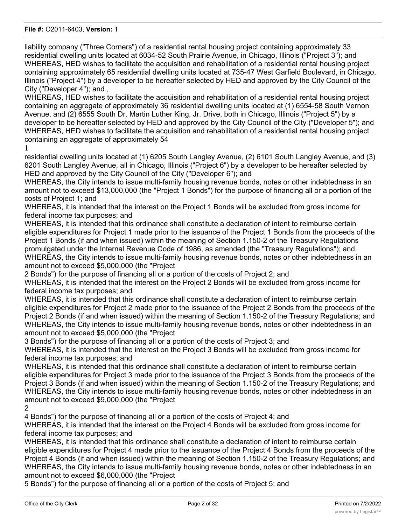liability company ("Three Corners") of a residential rental housing project containing approximately 33 residential dwelling units located at 6034-52 South Prairie Avenue, in Chicago, Illinois ("Project 3"); and WHEREAS, HED wishes to facilitate the acquisition and rehabilitation of a residential rental housing project containing approximately 65 residential dwelling units located at 735-47 West Garfield Boulevard, in Chicago, Illinois ("Project 4") by a developer to be hereafter selected by HED and approved by the City Council of the City ("Developer 4"); and ,

WHEREAS, HED wishes to facilitate the acquisition and rehabilitation of a residential rental housing project containing an aggregate of approximately 36 residential dwelling units located at (1) 6554-58 South Vernon Avenue, and (2) 6555 South Dr. Martin Luther King, Jr. Drive, both in Chicago, Illinois ("Project 5") by a developer to be hereafter selected by HED and approved by the City Council of the City ("Developer 5"); and WHEREAS, HED wishes to facilitate the acquisition and rehabilitation of a residential rental housing project containing an aggregate of approximately 54

#### **1**

residential dwelling units located at (1) 6205 South Langley Avenue, (2) 6101 South Langley Avenue, and (3) 6201 South Langley Avenue, all in Chicago, Illinois ("Project 6") by a developer to be hereafter selected by HED and approved by the City Council of the City ("Developer 6"); and

WHEREAS, the City intends to issue multi-family housing revenue bonds, notes or other indebtedness in an amount not to exceed \$13,000,000 (the "Project 1 Bonds") for the purpose of financing all or a portion of the costs of Project 1; and

WHEREAS, it is intended that the interest on the Project 1 Bonds will be excluded from gross income for federal income tax purposes; and

WHEREAS, it is intended that this ordinance shall constitute a declaration of intent to reimburse certain eligible expenditures for Project 1 made prior to the issuance of the Project 1 Bonds from the proceeds of the Project 1 Bonds (if and when issued) within the meaning of Section 1.150-2 of the Treasury Regulations promulgated under the Internal Revenue Code of 1986, as amended (the "Treasury Regulations"); and. WHEREAS, the City intends to issue multi-family housing revenue bonds, notes or other indebtedness in an amount not to exceed \$5,000,000 (the "Project

2 Bonds") for the purpose of financing all or a portion of the costs of Project 2; and

WHEREAS, it is intended that the interest on the Project 2 Bonds will be excluded from gross income for federal income tax purposes; and

WHEREAS, it is intended that this ordinance shall constitute a declaration of intent to reimburse certain eligible expenditures for Project 2 made prior to the issuance of the Project 2 Bonds from the proceeds of the Project 2 Bonds (if and when issued) within the meaning of Section 1.150-2 of the Treasury Regulations; and WHEREAS, the City intends to issue multi-family housing revenue bonds, notes or other indebtedness in an amount not to exceed \$5,000,000 (the "Project

3 Bonds") for the purpose of financing all or a portion of the costs of Project 3; and

WHEREAS, it is intended that the interest on the Project 3 Bonds will be excluded from gross income for federal income tax purposes; and

WHEREAS, it is intended that this ordinance shall constitute a declaration of intent to reimburse certain eligible expenditures for Project 3 made prior to the issuance of the Project 3 Bonds from the proceeds of the Project 3 Bonds (if and when issued) within the meaning of Section 1.150-2 of the Treasury Regulations; and WHEREAS, the City intends to issue multi-family housing revenue bonds, notes or other indebtedness in an amount not to exceed \$9,000,000 (the "Project

2

4 Bonds") for the purpose of financing all or a portion of the costs of Project 4; and

WHEREAS, it is intended that the interest on the Project 4 Bonds will be excluded from gross income for federal income tax purposes; and

WHEREAS, it is intended that this ordinance shall constitute a declaration of intent to reimburse certain eligible expenditures for Project 4 made prior to the issuance of the Project 4 Bonds from the proceeds of the Project 4 Bonds (if and when issued) within the meaning of Section 1.150-2 of the Treasury Regulations; and WHEREAS, the City intends to issue multi-family housing revenue bonds, notes or other indebtedness in an amount not to exceed \$6,000,000 (the "Project

5 Bonds") for the purpose of financing all or a portion of the costs of Project 5; and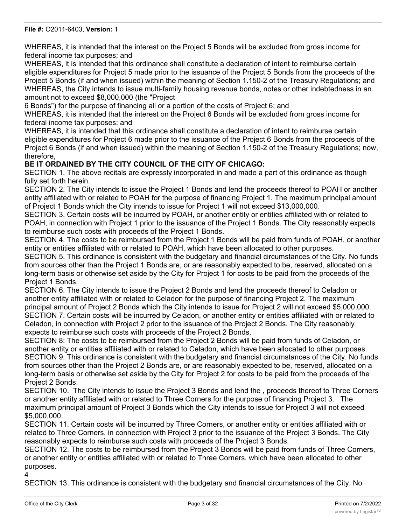WHEREAS, it is intended that the interest on the Project 5 Bonds will be excluded from gross income for federal income tax purposes; and

WHEREAS, it is intended that this ordinance shall constitute a declaration of intent to reimburse certain eligible expenditures for Project 5 made prior to the issuance of the Project 5 Bonds from the proceeds of the Project 5 Bonds (if and when issued) within the meaning of Section 1.150-2 of the Treasury Regulations; and WHEREAS, the City intends to issue multi-family housing revenue bonds, notes or other indebtedness in an amount not to exceed \$8,000,000 (the "Project

6 Bonds") for the purpose of financing all or a portion of the costs of Project 6; and

WHEREAS, it is intended that the interest on the Project 6 Bonds will be excluded from gross income for federal income tax purposes; and

WHEREAS, it is intended that this ordinance shall constitute a declaration of intent to reimburse certain eligible expenditures for Project 6 made prior to the issuance of the Project 6 Bonds from the proceeds of the Project 6 Bonds (if and when issued) within the meaning of Section 1.150-2 of the Treasury Regulations; now, therefore,

## **BE IT ORDAINED BY THE CITY COUNCIL OF THE CITY OF CHICAGO:**

SECTION 1. The above recitals are expressly incorporated in and made a part of this ordinance as though fully set forth herein.

SECTION 2. The City intends to issue the Project 1 Bonds and lend the proceeds thereof to POAH or another entity affiliated with or related to POAH for the purpose of financing Project 1. The maximum principal amount of Project 1 Bonds which the City intends to issue for Project 1 will not exceed \$13,000,000.

SECTION 3. Certain costs will be incurred by POAH, or another entity or entities affiliated with or related to POAH, in connection with Project 1 prior to the issuance of the Project 1 Bonds. The City reasonably expects to reimburse such costs with proceeds of the Project 1 Bonds.

SECTION 4. The costs to be reimbursed from the Project 1 Bonds will be paid from funds of POAH, or another entity or entities affiliated with or related to POAH, which have been allocated to other purposes.

SECTION 5. This ordinance is consistent with the budgetary and financial circumstances of the City. No funds from sources other than the Project 1 Bonds are, or are reasonably expected to be, reserved, allocated on a long-term basis or otherwise set aside by the City for Project 1 for costs to be paid from the proceeds of the Project 1 Bonds.

SECTION 6. The City intends to issue the Project 2 Bonds and lend the proceeds thereof to Celadon or another entity affiliated with or related to Celadon for the purpose of financing Project 2. The maximum principal amount of Project 2 Bonds which the City intends to issue for Project 2 will not exceed \$5,000,000. SECTION 7. Certain costs will be incurred by Celadon, or another entity or entities affiliated with or related to Celadon, in connection with Project 2 prior to the issuance of the Project 2 Bonds. The City reasonably expects to reimburse such costs with proceeds of the Project 2 Bonds.

SECTION 8: The costs to be reimbursed from the Project 2 Bonds will be paid from funds of Celadon, or another entity or entities affiliated with or related to Celadon, which have been allocated to other purposes. SECTION 9. This ordinance is consistent with the budgetary and financial circumstances of the City. No funds from sources other than the Project 2 Bonds are, or are reasonably expected to be, reserved, allocated on a long-term basis or otherwise set aside by the City for Project 2 for costs to be paid from the proceeds of the Project 2 Bonds.

SECTION 10. The City intends to issue the Project 3 Bonds and lend the , proceeds thereof to Three Corners or another entity affiliated with or related to Three Corners for the purpose of financing Project 3. The maximum principal amount of Project 3 Bonds which the City intends to issue for Project 3 will not exceed \$5,000,000.

SECTION 11. Certain costs will be incurred by Three Corners, or another entity or entities affiliated with or related to Three Corners, in connection with Project 3 prior to the issuance of the Project 3 Bonds. The City reasonably expects to reimburse such costs with proceeds of the Project 3 Bonds.

SECTION 12. The costs to be reimbursed from the Project 3 Bonds will be paid from funds of Three Corners, or another entity or entities affiliated with or related to Three Corners, which have been allocated to other purposes.

4

SECTION 13. This ordinance is consistent with the budgetary and financial circumstances of the City. No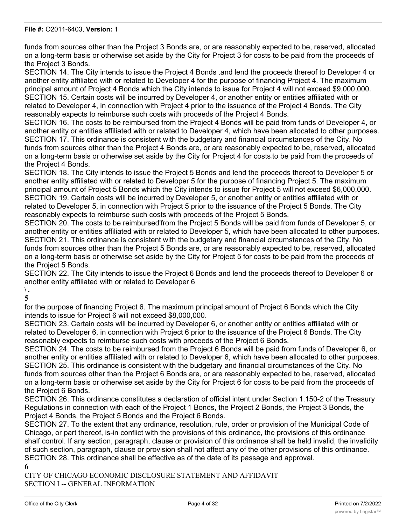funds from sources other than the Project 3 Bonds are, or are reasonably expected to be, reserved, allocated on a long-term basis or otherwise set aside by the City for Project 3 for costs to be paid from the proceeds of the Project 3 Bonds.

SECTION 14. The City intends to issue the Project 4 Bonds .and lend the proceeds thereof to Developer 4 or another entity affiliated with or related to Developer 4 for the purpose of financing Project 4. The maximum principal amount of Project 4 Bonds which the City intends to issue for Project 4 will not exceed \$9,000,000. SECTION 15. Certain costs will be incurred by Developer 4, or another entity or entities affiliated with or related to Developer 4, in connection with Project 4 prior to the issuance of the Project 4 Bonds. The City reasonably expects to reimburse such costs with proceeds of the Project 4 Bonds.

SECTION 16. The costs to be reimbursed from the Project 4 Bonds will be paid from funds of Developer 4, or another entity or entities affiliated with or related to Developer 4, which have been allocated to other purposes. SECTION 17. This ordinance is consistent with the budgetary and financial circumstances of the City. No funds from sources other than the Project 4 Bonds are, or are reasonably expected to be, reserved, allocated on a long-term basis or otherwise set aside by the City for Project 4 for costs:to be paid from the proceeds of the Project 4 Bonds.

SECTION 18. The City intends to issue the Project 5 Bonds and lend the proceeds thereof to Developer 5 or another entity affiliated with or related to Developer 5 for the purpose of financing Project 5. The maximum principal amount of Project 5 Bonds which the City intends to issue for Project 5 will not exceed \$6,000,000. SECTION 19. Certain costs will be incurred by Developer 5, or another entity or entities affiliated with or related to Developer 5, in connection with Project 5 prior to the issuance of the Project 5 Bonds. The City reasonably expects to reimburse such costs with proceeds of the Project 5 Bonds.

SECTION 20. The costs to be reimbursed'from the Project 5 Bonds will be paid from funds of Developer 5, or another entity or entities affiliated with or related to Developer 5, which have been allocated to other purposes. SECTION 21. This ordinance is consistent with the budgetary and financial circumstances of the City. No funds from sources other than the Project 5 Bonds are, or are reasonably expected to be, reserved, allocated on a long-term basis or otherwise set aside by the City for Project 5 for costs to be paid from the proceeds of the Project 5 Bonds.

SECTION 22. The City intends to issue the Project 6 Bonds and lend the proceeds thereof to Developer 6 or another entity affiliated with or related to Developer 6

**\ . 5**

for the purpose of financing Project 6. The maximum principal amount of Project 6 Bonds which the City intends to issue for Project 6 will not exceed \$8,000,000.

SECTION 23. Certain costs will be incurred by Developer 6, or another entity or entities affiliated with or related to Developer 6, in connection with Project 6 prior to the issuance of the Project 6 Bonds. The City reasonably expects to reimburse such costs with proceeds of the Project 6 Bonds.

SECTION 24. The costs to be reimbursed from the Project 6 Bonds will be paid from funds of Developer 6, or another entity or entities affiliated with or related to Developer 6, which have been allocated to other purposes. SECTION 25. This ordinance is consistent with the budgetary and financial circumstances of the City. No funds from sources other than the Project 6 Bonds are, or are reasonably expected to be, reserved, allocated on a long-term basis or otherwise set aside by the City for Project 6 for costs to be paid from the proceeds of the Project 6 Bonds.

SECTION 26. This ordinance constitutes a declaration of official intent under Section 1.150-2 of the Treasury Regulations in connection with each of the Project 1 Bonds, the Project 2 Bonds, the Project 3 Bonds, the Project 4 Bonds, the Project 5 Bonds and the Project 6 Bonds.

SECTION 27. To the extent that any ordinance, resolution, rule, order or provision of the Municipal Code of Chicago, or part thereof, is-in conflict with the provisions of this ordinance, the provisions of this ordinance shalf control. If any section, paragraph, clause or provision of this ordinance shall be held invalid, the invalidity of such section, paragraph, clause or provision shall not affect any of the other provisions of this ordinance. SECTION 28. This ordinance shall be effective as of the date of its passage and approval.

**6**

CITY OF CHICAGO ECONOMIC DISCLOSURE STATEMENT AND AFFIDAVIT SECTION I -- GENERAL INFORMATION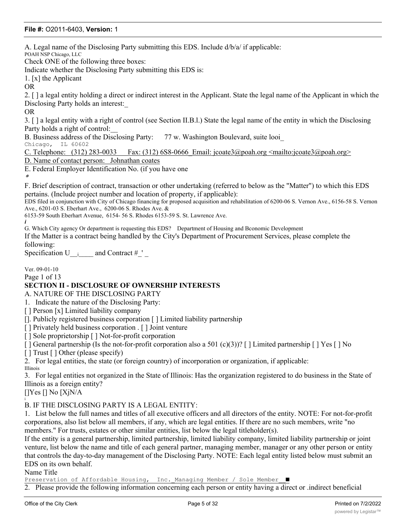A. Legal name of the Disclosing Party submitting this EDS. Include d/b/a/ if applicable: POAH NSP Chicago, LLC Check ONE of the following three boxes: Indicate whether the Disclosing Party submitting this EDS is: 1. [x] the Applicant OR 2. [ ] a legal entity holding a direct or indirect interest in the Applicant. State the legal name of the Applicant in which the Disclosing Party holds an interest:\_ OR 3. [ ] a legal entity with a right of control (see Section II.B.l.) State the legal name of the entity in which the Disclosing Party holds a right of control:\_\_ B. Business address of the Disclosing Party: 77 w. Washington Boulevard, suite looi\_ Chicago, IL 60602 C. Telephone:  $(312)$  283-0033 Fax:  $(312)$  6S8-0666 Email: jcoate3@poah.org <mailto:jcoate3@poah.org> D. Name of contact person: Johnathan coates E. Federal Employer Identification No. (if you have one \*F. Brief description of contract, transaction or other undertaking (referred to below as the "Matter") to which this EDS pertains. (Include project number and location of property, if applicable): EDS filed in conjunction with City of Chicago financing for proposed acquisition and rehabilitation of 6200-06 S. Vernon Ave., 6156-58 S. Vernon Ave., 6201-03 S. Eberhart Ave., 6200-06 S. Rhodes Ave. & 6153-59 South Eberhart Avenue, 6154- 56 S. Rhodes 6153-59 S. St. Lawrence Ave. *i* G. Which City agency Or department is requesting this EDS? Department of Housing and Bconomic Development If the Matter is a contract being handled by the City's Department of Procurement Services, please complete the following: Specification U  $_{i}$  and Contract # ' Ver. 09-01-10 Page 1 of 13 **SECTION II - DISCLOSURE OF OWNERSHIP INTERESTS** A. NATURE OF THE DISCLOSING PARTY 1. Indicate the nature of the Disclosing Party: [ ] Person [x] Limited liability company []. Publicly registered business corporation [ ] Limited liability partnership [] Privately held business corporation . [] Joint venture [] Sole proprietorship [] Not-for-profit corporation  $\lceil \cdot \rceil$  General partnership (Is the not-for-profit corporation also a 501 (c)(3))?  $\lceil \cdot \rceil$  Limited partnership  $\lceil \cdot \rceil$  Yes  $\lceil \cdot \rceil$  No [ ] Trust [ ] Other (please specify) 2. For legal entities, the state (or foreign country) of incorporation or organization, if applicable: Illinois 3. For legal entities not organized in the State of Illinois: Has the organization registered to do business in the State of Illinois as a foreign entity?  $[$ ]Yes  $[$ ] No  $[XjN/A]$ i B. IF THE DISCLOSING PARTY IS A LEGAL ENTITY: 1. List below the full names and titles of all executive officers and all directors of the entity. NOTE: For not-for-profit corporations, also list below all members, if any, which are legal entities. If there are no such members, write "no members." For trusts, estates or other similar entities, list below the legal titleholder(s). If the entity is a general partnership, limited partnership, limited liability company, limited liability partnership or joint venture, list below the name and title of each general partner, managing member, manager or any other person or entity that controls the day-to-day management of the Disclosing Party. NOTE: Each legal entity listed below must submit an EDS on its own behalf.

Name Title

Preservation of Affordable Housing, Inc. Managing Member / Sole Member ■

2. Please provide the following information concerning each person or entity having a direct or .indirect beneficial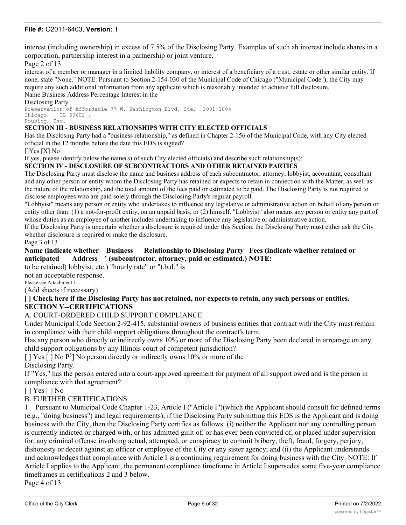interest (including ownership) in excess of 7.5% of the Disclosing Party. Examples of such ah interest include shares in a corporation, partnership interest in a partnership or joint venture,

#### Page 2 of 13

interest of a member or manager in a limited liability company, or interest of a beneficiary of a trust, estate or other similar entity. If none, state "None." NOTE: Pursuant to Section 2-154-030 of the Municipal Code of Chicago ("Municipal Code"), the City may require any such additional information from any applicant which is reasonably intended to achieve full disclosure. Name Business Address Percentage Interest in the

Disclosing Party

Preservation of Affordable 77 W. Washington Blvd. Ste. 1001 100% Chicago, IL 60602 .

Housing, Inc.

#### **SECTION III - BUSINESS RELATIONSHIPS WITH CITY ELECTED OFFICIALS**

Has the Disclosing Party had a "business relationship," as defined in Chapter 2-156 of the Municipal Code, with any City elected official in the 12 months before the date this EDS is signed?

[]Ycs [X] No

If yes, please identify below the name(s) of such City elected officials) and describe such relationship(s):

#### **SECTION IV - DISCLOSURE OF SUBCONTRACTORS AND OTHER RETAINED PARTIES**

The Disclosing Party must disclose the name and business address of each subcontractor, attorney, lobbyist, accountant, consultant and any other person or entity whom the Disclosing Party has retained or expects to retain in connection with the Matter, as well as the nature of the relationship, and the total amount of the fees paid or estimated to be paid. The Disclosing Party is not required to disclose employees who are paid solely through the Disclosing Parly's regular payroll.

"Lobbyist" means any person or entity who undertakes to influence any legislative or administrative action on behalf of any'person or entity other than: (1) a not-for-profit entity, on an unpaid basis, or (2) himself. "Lobbyist" also means any person or entity any part of whose duties as an employee of another includes undertaking to influence any legislative or administrative action.

If the Disclosing Party is uncertain whether a disclosure is required under this Section, the Disclosing Party must either ask the City whether disclosure is required or make the disclosure.

Page 3 of 13

#### **Name (indicate whether Business Relationship to Disclosing Party Fees (indicate whether retained or anticipated Address ' (subcontractor, attorney, paid or estimated.) NOTE:**

to be retained) lobbyist, etc.) "hourly rate" or "t.b.d." is

not an acceptable response.

Please see Attachment 1 - .

(Add sheets if necessary)

#### **[ ] Check here if the Disclosing Party has not retained, nor expects to retain, any such persons or entities. SECTION V--CERTIFICATIONS**

#### A. COURT-ORDERED CHILD SUPPORT COMPLIANCE.

Under Municipal Code Section 2-92-415, substantial owners of business entities that contract with the City must remain in compliance with their child support obligations throughout the contract's term.

Has any person who directly or indirectly owns 10% or more of the Disclosing Party been declared in arrearage on any child support obligations by any Illinois court of competent jurisdiction?

[] Yes [] No P<sup>5</sup>] No person directly or indirectly owns 10% or more of the Disclosing Party.

If "Yes," has the person entered into a court-approved agreement for payment of all support owed and is the person in compliance with that agreement?

[ ] Yes [ ] No

#### B. FURTHER CERTIFICATIONS

1. Pursuant to Municipal Code Chapter 1-23, Article I ("Article I")(which the Applicant should consult for defined terms (e.g., "doing business") and legal requirements), if the Disclosing Party submitting this EDS is the Applicant and is doing business with the City, then the Disclosing Party certifies as follows: (i) neither the Applicant nor any controlling person is currently indicted or charged with, or has admitted guilt of, or has ever been convicted of, or placed under supervision for, any criminal offense involving actual, attempted, or conspiracy to commit bribery, theft, fraud, forgery, perjury, dishonesty or deceit against an officer or employee of the City or any sister agency; and (ii) the Applicant understands and acknowledges that compliance with Article I is a continuing requirement for doing business with the City. NOTE: If Article I applies to the Applicant, the permanent compliance timeframe in Article I supersedes some five-year compliance timeframes in certifications 2 and 3 below. Page 4 of 13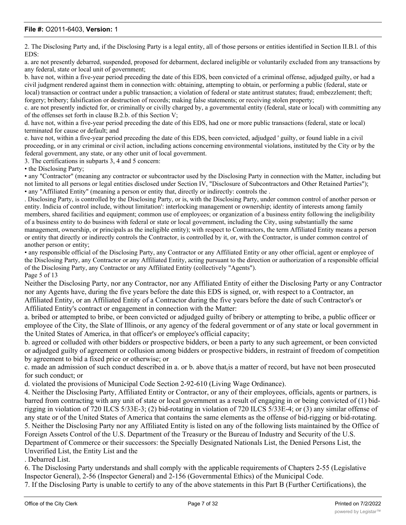2. The Disclosing Party and, if the Disclosing Party is a legal entity, all of those persons or entities identified in Section II.B.l. of this EDS:

a. are not presently debarred, suspended, proposed for debarment, declared ineligible or voluntarily excluded from any transactions by any federal, state or local unit of government;

b. have not, within a five-year period preceding the date of this EDS, been convicted of a criminal offense, adjudged guilty, or had a civil judgment rendered against them in connection with: obtaining, attempting to obtain, or performing a public (federal, state or local) transaction or contract under a public transaction; a violation of federal or state antitrust statutes; fraud; embezzlement; theft; forgery; bribery; falsification or destruction of records; making false statements; or receiving stolen property;

c. are not presently indicted for, or criminally or civilly charged by, a governmental entity (federal, state or local) with committing any of the offenses set forth in clause B.2.b. of this Section V;

d. have not, within a five-year period preceding the date of this EDS, had one or more public transactions (federal, state or local) terminated for cause or default; and

e. have not, within a five-year period preceding the date of this EDS, been convicted, adjudged ' guilty, or found liable in a civil proceeding, or in any criminal or civil action, including actions concerning environmental violations, instituted by the City or by the federal government, any state, or any other unit of local government.

3. The certifications in subparts 3, 4 and 5 concern:

• the Disclosing Party;

• any "Contractor" (meaning any contractor or subcontractor used by the Disclosing Party in connection with the Matter, including but not limited to all persons or legal entities disclosed under Section IV, "Disclosure of Subcontractors and Other Retained Parties"); • any "Affiliated Entity" (meaning a person or entity that, directly or indirectly: controls the .

. Disclosing Party, is controlled by the Disclosing Party, or is, with the Disclosing Party, under common control of another person or entity. Indicia of control include, without limitation': interlocking management or ownership; identity of interests among family members, shared facilities and equipment; common use of employees; or organization of a business entity following the ineligibility of a business entity to do business with federal or state or local government, including the City, using substantially the same management, ownership, or principals as the ineligible entity); with respect to Contractors, the term Affiliated Entity means a person or entity that directly or indirectly controls the Contractor, is controlled by it, or, with the Contractor, is under common control of another person or entity;

• any responsible official of the Disclosing Party, any Contractor or any Affiliated Entity or any other official, agent or employee of the Disclosing Party, any Contractor or any Affiliated Entity, acting pursuant to the direction or authorization of a responsible official of the Disclosing Party, any Contractor or any Affiliated Entity (collectively "Agents"). Page 5 of 13

Neither the Disclosing Party, nor any Contractor, nor any Affiliated Entity of either the Disclosing Party or any Contractor nor any Agents have, during the five years before the date this EDS is signed, or, with respect to a Contractor, an Affiliated Entity, or an Affiliated Entity of a Contractor during the five years before the date of such Contractor's or Affiliated Entity's contract or engagement in connection with the Matter:

a. bribed or attempted to bribe, or been convicted or adjudged guilty of bribery or attempting to bribe, a public officer or employee of the City, the Slate of Illinois, or any agency of the federal government or of any state or local government in the United States of America, in that officer's or employee's official capacity;

b. agreed or colluded with other bidders or prospective bidders, or been a party to any such agreement, or been convicted or adjudged guilty of agreement or collusion among bidders or prospective bidders, in restraint of freedom of competition by agreement to bid a fixed price or otherwise; or

c. made an admission of such conduct described in a. or b. above that  $\alpha$  is a matter of record, but have not been prosecuted for such conduct; or

d. violated the provisions of Municipal Code Section 2-92-610 (Living Wage Ordinance).

4. Neither the Disclosing Party, Affiliated Entity or Contractor, or any of their employees, officials, agents or partners, is barred from contracting with any unit of state or local government as a result of engaging in or being convicted of (1) bidrigging in violation of 720 ILCS 5/33E-3; (2) bid-rotating in violation of 720 ILCS 5/33E-4; or (3) any similar offense of any state or of the United States of America that contains the same elements as the offense of bid-rigging or bid-rotating. 5. Neither the Disclosing Party nor any Affiliated Entity is listed on any of the following lists maintained by the Office of Foreign Assets Control of the U.S. Department of the Treasury or the Bureau of Industry and Security of the U.S. Department of Commerce or their successors: the Specially Designated Nationals List, the Denied Persons List, the Unverified List, the Entity List and the

. Debarred List.

6. The Disclosing Party understands and shall comply with the applicable requirements of Chapters 2-55 (Legislative Inspector General), 2-56 (Inspector General) and 2-156 (Governmental Ethics) of the Municipal Code.

7. If the Disclosing Party is unable to certify to any of the above statements in this Part B (Further Certifications), the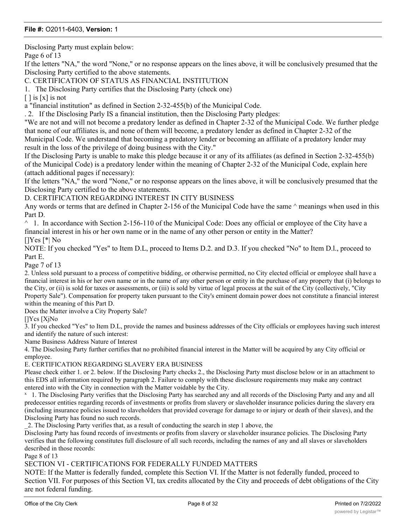Disclosing Party must explain below:

Page 6 of 13

If the letters "NA," the word "None," or no response appears on the lines above, it will be conclusively presumed that the Disclosing Party certified to the above statements.

C. CERTIFICATION OF STATUS AS FINANCIAL INSTITUTION

1. The Disclosing Party certifies that the Disclosing Party (check one)

 $\lceil$   $\rceil$  is  $\lceil$  x  $\rceil$  is not

a "financial institution" as defined in Section 2-32-455(b) of the Municipal Code.

. 2. If the Disclosing Parly IS a financial institution, then the Disclosing Party pledges:

"We are not and will not become a predatory lender as defined in Chapter 2-32 of the Municipal Code. We further pledge that none of our affiliates is, and none of them will become, a predatory lender as defined in Chapter 2-32 of the Municipal Code. We understand that becoming a predatory lender or becoming an affiliate of a predatory lender may result in the loss of the privilege of doing business with the City."

If the Disclosing Party is unable to make this pledge because it or any of its affiliates (as defined in Section 2-32-455(b) of the Municipal Code) is a predatory lender within the meaning of Chapter 2-32 of the Municipal Code, explain here (attach additional pages if necessary):

If the letters "NA," the word "None," or no response appears on the lines above, it will be conclusively presumed that the Disclosing Party certified to the above statements.

#### D. CERTIFICATION REGARDING INTEREST IN CITY BUSINESS

Any words or terms that are defined in Chapter 2-156 of the Municipal Code have the same  $\land$  meanings when used in this Part D.

 $\land$  1. In accordance with Section 2-156-110 of the Municipal Code: Does any official or employee of the City have a financial interest in his or her own name or in the name of any other person or entity in the Matter? []Yes [\*| No

NOTE: If you checked "Yes" to Item D.L, proceed to Items D.2. and D.3. If you checked "No" to Item D.l., proceed to Part E.

Page 7 of 13

2. Unless sold pursuant to a process of competitive bidding, or otherwise permitted, no City elected official or employee shall have a financial interest in his or her own name or in the name of any other person or entity in the purchase of any property that (i) belongs to the City, or (ii) is sold for taxes or assessments, or (iii) is sold by virtue of legal process at the suit of the City (collectively, "City Property Sale"). Compensation for property taken pursuant to the City's eminent domain power does not constitute a financial interest within the meaning of this Part D.

Does the Matter involve a City Property Sale?

[]Ycs [XjNo

3. If you checked "Yes" to Item D.L, provide the names and business addresses of the City officials or employees having such interest and identify the nature of such interest:

Name Business Address Nature of Interest

4. The Disclosing Party further certifies that no prohibited financial interest in the Matter will be acquired by any City official or employee.

#### E. CERTIFICATION REGARDING SLAVERY ERA BUSINESS

Please check either 1. or 2. below. If the Disclosing Party checks 2., the Disclosing Party must disclose below or in an attachment to this EDS all information required by paragraph 2. Failure to comply with these disclosure requirements may make any contract entered into with the City in connection with the Matter voidable by the City.

<sup>x</sup> 1. The Disclosing Party verifies that the Disclosing Party has searched any and all records of the Disclosing Party and any and all predecessor entities regarding records of investments or profits from slavery or slaveholder insurance policies during the slavery era (including insurance policies issued to slaveholders that provided coverage for damage to or injury or death of their slaves), and the Disclosing Party has found no such records.

\_2. The Disclosing Party verifies that, as a result of conducting the search in step 1 above, the

Disclosing Party has found records of investments or profits from slavery or slaveholder insurance policies. The Disclosing Party verifies that the following constitutes full disclosure of all such records, including the names of any and all slaves or slaveholders described in those records:

Page 8 of 13

#### SECTION VI - CERTIFICATIONS FOR FEDERALLY FUNDED MATTERS

NOTE: If the Matter is federally funded, complete this Section VI. If the Matter is not federally funded, proceed to Section VII. For purposes of this Section VI, tax credits allocated by the City and proceeds of debt obligations of the City are not federal funding.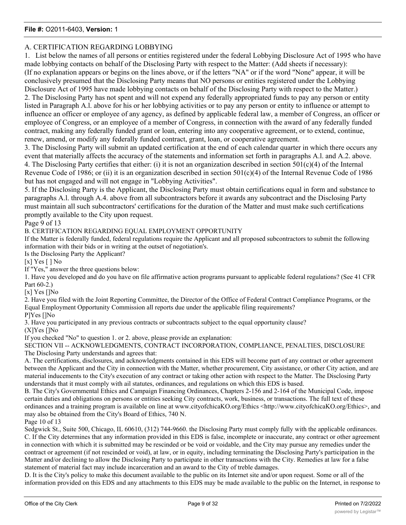#### A. CERTIFICATION REGARDING LOBBYING

1. List below the names of all persons or entities registered under the federal Lobbying Disclosure Act of 1995 who have made lobbying contacts on behalf of the Disclosing Party with respect to the Matter: (Add sheets if necessary): (If no explanation appears or begins on the lines above, or if the letters "NA" or if the word "None" appear, it will be conclusively presumed that the Disclosing Party means that NO persons or entities registered under the Lobbying Disclosure Act of 1995 have made lobbying contacts on behalf of the Disclosing Party with respect to the Matter.) 2. The Disclosing Party has not spent and will not expend any federally appropriated funds to pay any person or entity listed in Paragraph A.l. above for his or her lobbying activities or to pay any person or entity to influence or attempt to influence an officer or employee of any agency, as defined by applicable federal law, a member of Congress, an officer or employee of Congress, or an employee of a member of Congress, in connection with the award of any federally funded contract, making any federally funded grant or loan, entering into any cooperative agreement, or to extend, continue, renew, amend, or modify any federally funded contract, grant, loan, or cooperative agreement.

3. The Disclosing Party will submit an updated certification at the end of each calendar quarter in which there occurs any event that materially affects the accuracy of the statements and information set forth in paragraphs A.l. and A.2. above. 4. The Disclosing Party certifies that either: (i) it is not an organization described in section  $501(c)(4)$  of the Internal Revenue Code of 1986; or (ii) it is an organization described in section  $501(c)(4)$  of the Internal Revenue Code of 1986 but has not engaged and will not engage in "Lobbying Activities".

5. If the Disclosing Party is the Applicant, the Disclosing Party must obtain certifications equal in form and substance to paragraphs A.l. through A.4. above from all subcontractors before it awards any subcontract and the Disclosing Party must maintain all such subcontractors' certifications for the duration of the Matter and must make such certifications promptly available to the City upon request.

Page 9 of 13

B. CERTIFICATION REGARDING EQUAL EMPLOYMENT OPPORTUNITY

If the Matter is federally funded, federal regulations require the Applicant and all proposed subcontractors to submit the following information with their bids or in writing at the outset of negotiation's.

Is the Disclosing Party the Applicant?

[x] Yes [ ] No

If "Yes," answer the three questions below:

1. Have you developed and do you have on file affirmative action programs pursuant to applicable federal regulations? (See 41 CFR Part 60-2.)

[x] Yes []No

2. Have you filed with the Joint Reporting Committee, the Director of the Office of Federal Contract Compliance Programs, or the Equal Employment Opportunity Commission all reports due under the applicable filing requirements?

P]Yes []No

3. Have you participated in any previous contracts or subcontracts subject to the equal opportunity clause?

(X]Yes []No

If you checked "No" to question 1. or 2. above, please provide an explanation:

SECTION VII -- ACKNOWLEDGMENTS, CONTRACT INCORPORATION, COMPLIANCE, PENALTIES, DISCLOSURE The Disclosing Party understands and agrees that:

A. The certifications, disclosures, and acknowledgments contained in this EDS will become part of any contract or other agreement between the Applicant and the City in connection with the Matter, whether procurement, City assistance, or other City action, and are material inducements to the City's execution of any contract or taking other action with respect to the Matter. The Disclosing Party understands that it must comply with ail statutes, ordinances, and regulations on which this EDS is based.

B. The City's Governmental Ethics and Campaign Financing Ordinances, Chapters 2-156 and 2-164 of the Municipal Code, impose certain duties and obligations on persons or entities seeking City contracts, work, business, or transactions. The full text of these ordinances and a training program is available on line at www.cityofchicaKO.org/Ethics <http://www.cityofchicaKO.org/Ethics>, and may also be obtained from the City's Board of Ethics, 740 N.

Page 10 of 13

Sedgwick St., Suite 500, Chicago, IL 60610, (312) 744-9660. the Disclosing Party must comply fully with the applicable ordinances. C. If the City determines that any information provided in this EDS is false, incomplete or inaccurate, any contract or other agreement in connection with which it is submitted may be rescinded or be void or voidable, and the City may pursue any remedies under the contract or agreement (if not rescinded or void), at law, or in equity, including terminating the Disclosing Party's participation in the Matter and/or declining to allow the Disclosing Party to participate in other transactions with the City. Remedies at law for a false statement of material fact may include incarceration and an award to the City of treble damages.

D. It is the City's policy to make this document available to the public on its Internet site and/or upon request. Some or all of the information provided on this EDS and any attachments to this EDS may be made available to the public on the Internet, in response to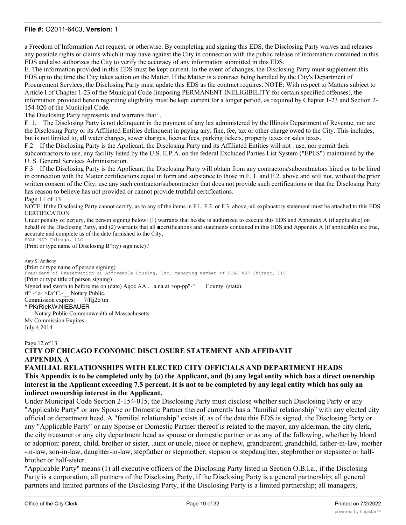a Freedom of Information Act request, or otherwise. By completing and signing this EDS, the Disclosing Party waives and releases any possible rights or claims which it may have against the City in connection with the public release of information contained in this EDS and also authorizes the City to verify the accuracy of any information submitted in this EDS.

E. The information provided in this EDS must be kept current. In the event of changes, the Disclosing Party must supplement this EDS up to the time the City takes action on the Matter. If the Matter is a contract being handled by the City's Department of Procurement Services, the Disclosing Party must update this EDS as the contract requires. NOTE: With respect to Matters subject to Article I of Chapter 1-23 of the Municipal Code (imposing PERMANENT INELIGIBILITY for certain specified offenses), the information provided herein regarding eligibility must be kept current for a longer period, as required by Chapter 1-23 and Section 2- 154-020 of the Municipal Code.

The Disclosing Party represents and warrants that: .

F. 1. The Disclosing Party is not delinquent in the payment of any lax administered by the Illinois Department of Revenue, nor are the Disclosing Party or its Affiliated Entities delinquent in paying any. fine, fee, tax or other charge owed to the City. This includes, but is not limited to, all water charges, sewer charges, license fees, parking tickets, property taxes or sales taxes.

F.2 If the Disclosing Party is the Applicant, the Disclosing Party and its Affiliated Entities will not . use, nor permit their subcontractors to use, any facility listed by the U.S. E.P.A. on the federal Excluded Parties List System ("EPLS") maintained by the U. S. General Services Administration.

F.3 If the Disclosing Party is the Applicant, the Disclosing Party will obtain from any contractors/subcontractors hired or to be hired in connection with the Matter certifications equal in form and substance to those in F. 1. and F.2. above and will not, without the prior written consent of the City, use any such contractor/subcontractor that does not provide such certifications or that the Disclosing Party has reason to believe has not provided or cannot provide truthful certifications.

Page 11 of 13

NOTE: If the Disclosing Party cannot certify, as to any of the items in F.l., F.2, or F.3. above,-aii explanatory statement must be attached to this EDS. CERTIFICATION

Under penalty of perjury, the person signing below: (1) warrants that he/she is authorized to execute this EDS and Appendix A (if applicable) on behalf of the Disclosing Party, and (2) warrants that all ■certifications and statements contained in this EDS and Appendix A (if applicable) are true, accurate and complete as of the date furnished to the City,

POAH NSP Chicago, LLC (Print or type.name of Disclosing B^rty) sign nete) /

Amy S. Anthony (Print or type name of person signing) President of Preservation o£ Affordable Housing, Inc. managing member of POAH NSP Chicago, LLC (Print or type title of person signing) Signed and sworn to before me on (date) Aqoc AA .. .a.na at >op-pp"-^ County, (state). rf^ -^o- >£a^C.- $\blacksquare$  Notary Public. Commission expires: 7/Hj2o tm ^ PKrRieKW.NIEBAUER ' Notary Public Commonwealth ol Massachusetts Mv Commission Expires . July 4,2014

#### Page 12 of 13 **CITY OF CHICAGO ECONOMIC DISCLOSURE STATEMENT AND AFFIDAVIT APPENDIX A**

#### **FAMILIAL RELATIONSHIPS WITH ELECTED CITY OFFICIALS AND DEPARTMENT HEADS This Appendix is to be completed only by (a) the Applicant, and (b) any legal entity which has a direct ownership interest in the Applicant exceeding 7.5 percent. It is not to be completed by any legal entity which has only an indirect ownership interest in the Applicant.**

Under Municipal Code Section 2-154-015, the Disclosing Party must disclose whether such Disclosing Party or any "Applicable Party" or any Spouse or Domestic Partner thereof currently has a "familial relationship" with any elected city official or department head. A "familial relationship" exists if, as of the date this EDS is signed, the Disclosing Party or any "Applicable Party" or any Spouse or Domestic Partner thereof is related to the mayor, any alderman, the city clerk, the city treasurer or any city department head as spouse or domestic partner or as any of the following, whether by blood or adoption: parent, child, brother or sister, .aunt or uncle, niece or nephew, grandparent, grandchild, father-in-law, mother -in-law, son-in-law, daughter-in-law, stepfather or stepmother, stepson or stepdaughter, stepbrother or stepsister or halfbrother or half-sister.

"Applicable Party" means (1) all executive officers of fhe Disclosing Party listed in Section O.B.l.a., if the Disclosing Party is a corporation; all partners of the Disclosing Party, if the Disclosing Party is a general partnership; all general partners and limited partners of the Disclosing Party, if the Disclosing Party is a limited partnership; all managers,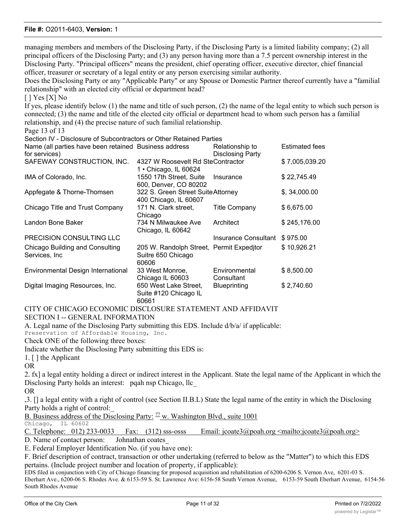managing members and members of the Disclosing Party, if the Disclosing Party is a limited liability company; (2) all principal officers of the Disclosing Party; and (3) any person having more than a 7.5 percent ownership interest in the Disclosing Party. "Principal officers" means the president, chief operating officer, executive director, chief financial officer, treasurer or secretary of a legal entity or any person exercising similar authority.

Does the Disclosing Party or any "Applicable Party" or any Spouse or Domestic Partner thereof currently have a "familial relationship" with an elected city official or department head?

#### $[$   $]$  Yes  $[X]$  No

If yes, please identify below (1) the name and title of such person, (2) the name of the legal entity to which such person is connected; (3) the name and title of the elected city official or department head to whom such person has a familial relationship, and (4) the precise nature of such familial relationship.

Page 13 of 13

Section IV - Disclosure of Subcontractors or Other Retained Parties

| Name (all parties have been retained Business address |                                                                           | Relationship to             | <b>Estimated fees</b> |
|-------------------------------------------------------|---------------------------------------------------------------------------|-----------------------------|-----------------------|
| for services)<br>SAFEWAY CONSTRUCTION, INC.           | 4327 W Roosevelt Rd SteContractor                                         | <b>Disclosing Party</b>     | \$7,005,039.20        |
| IMA of Colorado, Inc.                                 | 1 • Chicago, IL 60624<br>1550 17th Street, Suite<br>600, Denver, CO 80202 | Insurance                   | \$22,745.49           |
| Appfegate & Thorne-Thomsen                            | 322 S. Green Street Suite Attorney<br>400 Chicago, IL 60607               |                             | \$, 34,000.00         |
| Chicago Title and Trust Company                       | 171 N. Clark street,<br>Chicago                                           | <b>Title Company</b>        | \$6,675.00            |
| Landon Bone Baker                                     | 734 N Milwaukee Ave<br>Chicago, IL 60642                                  | Architect                   | \$245,176.00          |
| PRECISION CONSULTING LLC                              |                                                                           | Insurance Consultant        | \$975.00              |
| Chicago Building and Consulting<br>Services, Inc      | 205 W. Randolph Street, Permit Expeditor<br>Suitre 650 Chicago<br>60606   |                             | \$10,926.21           |
| Environmental Design International                    | 33 West Monroe,<br>Chicago IL 60603                                       | Environmental<br>Consultant | \$8,500.00            |
| Digital Imaging Resources, Inc.                       | 650 West Lake Street,<br>Suite #120 Chicago IL<br>60661                   | <b>Blueprinting</b>         | \$2,740.60            |

## CITY OF CHICAGO ECONOMIC DISCLOSURE STATEMENT AND AFFIDAVIT

SECTION I -- GENERAL INFORMATION

A. Legal name of the Disclosing Party submitting this EDS. Include d/b/a/ if applicable:

Preservation of Affordable Housing, Inc.

Check ONE of the following three boxes:

Indicate whether the Disclosing Party submitting this EDS is:

1. [ ] the Applicant

OR

2. fx] a legal entity holding a direct or indirect interest in the Applicant. State the legal name of the Applicant in which the Disclosing Party holds an interest: pqah nsp Chicago, llc\_

OR

,3. [] a legal entity with a right of control (see Section II.B.L) State the legal name of the entity in which the Disclosing Party holds a right of control:\_

B. Business address of the Disclosing Party:  $\frac{77}{10}$  w. Washington Blvd., suite 1001 Chicago, IL 60602

Chicago,

| C. Telephone: $012$ ) 233-0033 Fax: $(312)$ sss-osss |  |  |  |  | Email: jcoate3@poah.org <mailto:jcoate3@poah.org></mailto:jcoate3@poah.org> |  |
|------------------------------------------------------|--|--|--|--|-----------------------------------------------------------------------------|--|
|                                                      |  |  |  |  |                                                                             |  |

D. Name of contact person: Johnathan coates\_

E. Federal Employer Identification No. (if you have one):

F. Brief description of contract, transaction or other undertaking (referred to below as the "Matter") to which this EDS pertains. (Include project number and location of property, if applicable):

EDS filed in conjunction with City of Chicago financing for proposed acquisition and rehabilitation of 6200-6206 S. Vernon Ave, 6201-03 S. Eberhart Ave., 6200-06 S. Rhodes Ave. & 6153-59 S. St. Lawrence Ave: 6156-58 South Vernon Avenue, 6153-59 South Eberhart Avenue, 6154-56 South Rhodes Avenue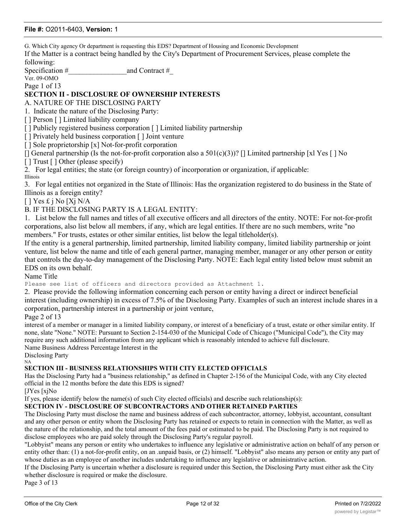G. Which City agency Or department is requesting this EDS? Department of Housing and Economic Development

If the Matter is a contract being handled by the City's Department of Procurement Services, please complete the following:

Specification #  $\qquad \qquad \text{and Contract }#$ 

Ver. 09-OMO

Page 1 of 13

## **SECTION II - DISCLOSURE OF OWNERSHIP INTERESTS**

A. NATURE OF THE DISCLOSING PARTY

1. Indicate the nature of the Disclosing Party:

[] Person [] Limited liability company

[ ] Publicly registered business corporation [ ] Limited liability partnership

[ ] Privately held business corporation [ ] Joint venture

[] Sole proprietorship [x] Not-for-profit corporation

[] General partnership (Is the not-for-profit corporation also a  $501(c)(3)$ )? [] Limited partnership [xl Yes [] No

[ ] Trust [ ] Other (please specify)

2. For legal entities; the state (or foreign country) of incorporation or organization, if applicable: Illinois

3. For legal entities not organized in the State of Illinois: Has the organization registered to do business in the State of Illinois as a foreign entity?

 $[ ]$  Yes £ j No [Xj N/A]

B. IF THE DISCLOSING PARTY IS A LEGAL ENTITY:

1. List below the full names and titles of all executive officers and all directors of the entity. NOTE: For not-for-profit corporations, also list below all members, if any, which are legal entities. If there are no such members, write "no members." For trusts, estates or other similar entities, list below the legal titleholder(s).

If the entity is a general partnership, limited partnership, limited liability company, limited liability partnership or joint venture, list below the name and title of each general partner, managing member, manager or any other person or entity that controls the day-to-day management of the Disclosing Party. NOTE: Each legal entity listed below must submit an EDS on its own behalf.

Name Title

Please see list of officers and directors provided as Attachment 1.

2. Please provide the following information concerning each person or entity having a direct or indirect beneficial interest (including ownership) in excess of 7.5% of the Disclosing Party. Examples of such an interest include shares in a corporation, partnership interest in a partnership or joint venture,

Page 2 of 13

interest of a member or manager in a limited liability company, or interest of a beneficiary of a trust, estate or other similar entity. If none, slate "None." NOTE: Pursuant to Section 2-154-030 of the Municipal Code of Chicago ("Municipal Code"), the City may require any such additional information from any applicant which is reasonably intended to achieve full disclosure.

Name Business Address Percentage Interest in the

Disclosing Party NA

#### **SECTION III - BUSINESS RELATIONSHIPS WITH CITY ELECTED OFFICIALS**

Has the Disclosing Party had a "business relationship," as defined in Chapter 2-156 of the Municipal Code, with any City elected official in the 12 months before the date this EDS is signed?

[JYes [xjNo

If yes, please identify below the name(s) of such City elected officials) and describe such relationship(s):

#### **SECTION IV - DISCLOSURE OF SUBCONTRACTORS AND OTHER RETAINED PARTIES**

The Disclosing Party must disclose the name and business address of each subcontractor, attorney, lobbyist, accountant, consultant and any other person or entity whom the Disclosing Party has retained or expects to retain in connection with the Matter, as well as the nature of the relationship, and the total amount of the fees paid or estimated to be paid. The Disclosing Party is not required to disclose employees who are paid solely through the Disclosing Party's regular payroll.

"Lobbyist" means any person or entity who undertakes to influence any legislative or administrative action on behalf of any person or entity other than: (1) a not-for-profit entity, on an .unpaid basis, or (2) himself. "Lobbyist" also means any person or entity any part of whose duties as an employee of another includes undertaking to influence any legislative or administrative action.

If the Disclosing Party is uncertain whether a disclosure is required under this Section, the Disclosing Party must either ask the City whether disclosure is required or make the disclosure.

Page 3 of 13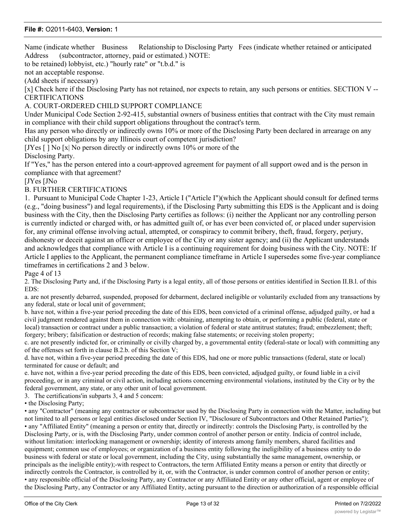Name (indicate whether Business Relationship to Disclosing Party Fees (indicate whether retained or anticipated Address (subcontractor, attorney, paid or estimated.) NOTE:

to be retained) lobbyist, etc.) "hourly rate" or "t.b.d." is

not an acceptable response.

(Add sheets if necessary)

[x] Check here if the Disclosing Party has not retained, nor expects to retain, any such persons or entities. SECTION V -- CERTIFICATIONS

A. COURT-ORDERED CHILD SUPPORT COMPLIANCE

Under Municipal Code Section 2-92-415, substantial owners of business entities that contract with the City must remain in compliance with their child support obligations throughout the contract's term.

Has any person who directly or indirectly owns 10% or more of the Disclosing Party been declared in arrearage on any child support obligations by any Illinois court of competent jurisdiction?

[JYes [ ] No [x| No person directly or indirectly owns 10% or more of the Disclosing Party.

If "Yes," has the person entered into a court-approved agreement for payment of all support owed and is the person in compliance with that agreement?

[JYes [JNo

#### B. FURTHER CERTIFICATIONS

1. Pursuant to Municipal Code Chapter 1-23, Article I ("Article I")(which the Applicant should consult for defined terms (e.g., "doing business") and legal requirements), if the Disclosing Party submitting this EDS is the Applicant and is doing business with the City, then the Disclosing Party certifies as follows: (i) neither the Applicant nor any controlling person is currently indicted or charged with, or has admitted guilt of, or has ever been convicted of, or placed under supervision for, any criminal offense involving actual, attempted, or conspiracy to commit bribery, theft, fraud, forgery, perjury, dishonesty or deceit against an officer or employee of the City or any sister agency; and (ii) the Applicant understands and acknowledges that compliance with Article I is a continuing requirement for doing business with the City. NOTE: If Article I applies to the Applicant, the permanent compliance timeframe in Article I supersedes some five-year compliance timeframes in certifications 2 and 3 below.

Page 4 of 13

2. The Disclosing Party and, if the Disclosing Party is a legal entity, all of those persons or entities identified in Section II.B.l. of this EDS:

a. are not presently debarred, suspended, proposed for debarment, declared ineligible or voluntarily excluded from any transactions by any federal, state or local unit of government;

b. have not, within a five-year period preceding the date of this EDS, been convicted of a criminal offense, adjudged guilty, or had a civil judgment rendered against them in connection with: obtaining, attempting to obtain, or performing a public (federal, state or local) transaction or contract under a public transaction; a violation of federal or state antitrust statutes; fraud; embezzlement; theft; forgery; bribery; falsification or destruction of records; making false statements; or receiving stolen property;

c. are not presently indicted for, or criminally or civilly charged by, a governmental entity (federal-state or local) with committing any of the offenses set forth in clause B.2.b. of this Section V;

d. have not, within a five-year period preceding the date of this EDS, had one or more public transactions (federal, state or local) terminated for cause or default; and

e. have not, within a five-year period preceding the date of this EDS, been convicted, adjudged guilty, or found liable in a civil proceeding, or in any criminal or civil action, including actions concerning environmental violations, instituted by the City or by the federal government, any state, or any other unit of local government.

3. The certifications'in subparts 3, 4 and 5 concern:

• the Disclosing Party;

• any "Contractor" (meaning any contractor or subcontractor used by the Disclosing Party in connection with the Matter, including but not limited to all persons or legal entities disclosed under Section IV, "Disclosure of Subcontractors and Other Retained Parties"); • any "Affiliated Entity" (meaning a person or entity that, directly or indirectly: controls the Disclosing Party, is controlled by the Disclosing Party, or is, with the Disclosing Party, under common control of another person or entity. Indicia of control include, without limitation: interlocking management or ownership; identity of interests among family members, shared facilities and equipment; common use of employees; or organization of a business entity following the ineligibility of a business entity to do business with federal or state or local government, including the City, using substantially the same management, ownership, or principals as the ineligible entity);-with respect to Contractors, the term Affiliated Entity means a person or entity that directly or indirectly controls the Contractor, is controlled by it, or, with the Contractor, is under common control of another person or entity; • any responsible official of the Disclosing Party, any Contractor or any Affiliated Entity or any other official, agent or employee of the Disclosing Party, any Contractor or any Affiliated Entity, acting pursuant to the direction or authorization of a responsible official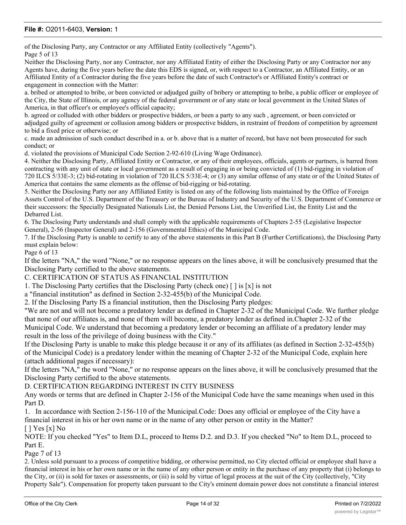of the Disclosing Party, any Contractor or any Affiliated Entity (collectively "Agents"). Page 5 of 13

Neither the Disclosing Party, nor any Contractor, nor any Affiliated Entity of either the Disclosing Party or any Contractor nor any Agents have, during the five years before the date this EDS is signed, or, with respect to a Contractor, an Affiliated Entity, or an Affiliated Entity of a Contractor during the five years before the date of such Contractor's or Affiliated Entity's contract or engagement in connection with the Matter:

a. bribed or attempted to bribe, or been convicted or adjudged guilty of bribery or attempting to bribe, a public officer or employee of the City, the State of Illinois, or any agency of the federal government or of any state or local government in the United Slates of America, in that officer's or employee's official capacity;

b. agreed or colluded with other bidders or prospective bidders, or been a party to any such , agreement, or been convicted or adjudged guilty of agreement or collusion among bidders or prospective bidders, in restraint of freedom of competition by agreement to bid a fixed price or otherwise; or

c. made an admission of such conduct described in a. or b. above that is a matter of record, but have not been prosecuted for such conduct; or

d. violated the provisions of Municipal Code Section 2-92-610 (Living Wage Ordinance).

4. Neither the Disclosing Party, Affiliated Entity or Contractor, or any of their employees, officials, agents or partners, is barred from contracting with any unit of state or local government as a result of engaging in or being convicted of (1) bid-rigging in violation of 720 ILCS 5/33E-3; (2) bid-rotating in violation of 720 ILCS 5/33E-4; or (3) any similar offense of any state or of the United States of America that contains the same elements as the offense of bid-rigging or bid-rotating.

5. Neither the Disclosing Party nor any Affiliated Entity is listed on any of the following lists maintained by the Office of Foreign Assets Control of the U.S. Department of the Treasury or the Bureau of Industry and Security of the U.S. Department of Commerce or their successors: the Specially Designated Nationals List, the Denied Persons List, the Unverified List, the Entity List and the Debarred List.

6. The Disclosing Party understands and shall comply with the applicable requirements of Chapters 2-55 (Legislative Inspector General), 2-56 (Inspector General) and 2-156 (Governmental Ethics) of the Municipal Code.

7. If the Disclosing Party is unable to certify to any of the above statements in this Part B (Further Certifications), the Disclosing Party must explain below:

Page 6 of 13

If the letters "NA," the word "None," or no response appears on the lines above, it will be conclusively presumed that the Disclosing Party certified to the above statements.

C. CERTIFICATION OF STATUS AS FINANCIAL INSTITUTION

1. The Disclosing Party certifies that the Disclosing Party (check one)  $\lceil \cdot \rceil$  is  $\lceil x \rceil$  is not

a "financial institution" as defined in Section 2-32-455(b) of the Municipal Code.

2. If the Disclosing Party IS a financial institution, then the Disclosing Party pledges:

"We are not and will not become a predatory lender as defined in Chapter 2-32 of the Municipal Code. We further pledge that none of our affiliates is, and none of them will become, a predatory lender as defined in.Chapter 2-32 of the Municipal Code. We understand that becoming a predatory lender or becoming an affiliate of a predatory lender may result in the loss of the privilege of doing business with the City."

If the Disclosing Party is unable to make this pledge because it or any of its affiliates (as defined in Section 2-32-455(b) of the Municipal Code) is a predatory lender within the meaning of Chapter 2-32 of the Municipal Code, explain here (attach additional pages if necessary):

If the letters "NA," the word "None," or no response appears on the lines above, it will be conclusively presumed that the Disclosing Party certified to the above statements.

D. CERTIFICATION REGARDING INTEREST IN CITY BUSINESS

Any words or terms that are defined in Chapter 2-156 of the Municipal Code have the same meanings when used in this Part D.

1. In accordance with Section 2-156-110 of the Municipal.Code: Does any official or employee of the City have a financial interest in his or her own name or in the name of any other person or entity in the Matter?  $[$   $]$  Yes  $[x]$  No

NOTE: If you checked "Yes" to Item D.L, proceed to Items D.2. and D.3. If you checked "No" to Item D.L, proceed to Part E.

Page 7 of 13

2. Unless sold pursuant to a process of competitive bidding, or otherwise permitted, no City elected official or employee shall have a financial interest in his or her own name or in the name of any other person or entity in the purchase of any property that (i) belongs to the City, or (ii) is sold for taxes or assessments, or (iii) is sold by virtue of legal process at the suit of the City (collectively, "City Property Sale"). Compensation for property taken pursuant to the City's eminent domain power does not constitute a financial interest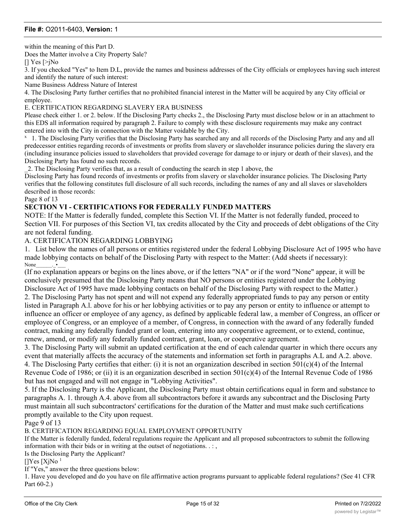within the meaning of this Part D.

Does the Matter involve a City Property Sale?

[] Yes [>jNo

3. If you checked "Yes" to Item D.L, provide the names and business addresses of the City officials or employees having such interest and identify the nature of such interest:

Name Business Address Nature of Interest

4. The Disclosing Party further certifies that no prohibited financial interest in the Matter will be acquired by any City official or employee.

E. CERTIFICATION REGARDING SLAVERY ERA BUSINESS

Please check either 1. or 2. below. If the Disclosing Party checks 2., the Disclosing Party must disclose below or in an attachment to this EDS all information required by paragraph 2. Failure to comply with these disclosure requirements may make any contract entered into with the City in connection with the Matter voidable by the City.

<sup>1</sup> 1. The Disclosing Party verifies that the Disclosing Party has searched any and all records of the Disclosing Party and any and all predecessor entities regarding records of investments or profits from slavery or slaveholder insurance policies during the slavery era (including insurance policies issued to slaveholders that provided coverage for damage to or injury or death of their slaves), and the Disclosing Party has found no such records.

\_2. The Disclosing Party verifies that, as a result of conducting the search in step 1 above, the

Disclosing Party has found records of investments or profits from slavery or slaveholder insurance policies. The Disclosing Party verifies that the following constitutes full disclosure of all such records, including the names of any and all slaves or slaveholders described in those records:

Page 8 of 13

#### **SECTION VI - CERTIFICATIONS FOR FEDERALLY FUNDED MATTERS**

NOTE: If the Matter is federally funded, complete this Section VI. If the Matter is not federally funded, proceed to Section VII. For purposes of this Section VI, tax credits allocated by the City and proceeds of debt obligations of the City are not federal funding.

#### A. CERTIFICATION REGARDING LOBBYING

1. List below the names of all persons or entities registered under the federal Lobbying Disclosure Act of 1995 who have made lobbying contacts on behalf of the Disclosing Party with respect to the Matter: (Add sheets if necessary): None

(If no explanation appears or begins on the lines above, or if the letters "NA" or if the word "None" appear, it will be conclusively presumed that the Disclosing Party means that NO persons or entities registered under the Lobbying Disclosure Act of 1995 have made lobbying contacts on behalf of the Disclosing Party with respect to the Matter.) 2. The Disclosing Party has not spent and will not expend any federally appropriated funds to pay any person or entity listed in Paragraph A.l. above for his or her lobbying activities or to pay any person or entity to influence or attempt to

influence an officer or employee of any agency, as defined by applicable federal law, a member of Congress, an officer or employee of Congress, or an employee of a member, of Congress, in connection with the award of any federally funded contract, making any federally funded grant or loan, entering into any cooperative agreement, or to extend, continue, renew, amend, or modify any federally funded contract, grant, loan, or cooperative agreement.

3. The Disclosing Party will submit an updated certification at the end of each calendar quarter in which there occurs any event that materially affects the accuracy of the statements and information set forth in paragraphs A.L and A.2. above. 4. The Disclosing Party certifies that either: (i) it is not an organization described in section  $501(c)(4)$  of the Internal Revenue Code of 1986; or (ii) it is an organization described in section  $501(c)(4)$  of the Internal Revenue Code of 1986 but has not engaged and will not engage in "Lobbying Activities".

5. If the Disclosing Party is the Applicant, the Disclosing Party must obtain certifications equal in form and substance to paragraphs A. 1. through A.4. above from all subcontractors before it awards any subcontract and the Disclosing Party must maintain all such subcontractors' certifications for the duration of the Matter and must make such certifications promptly available to the City upon request.

Page 9 of 13

B. CERTIFICATION REGARDING EQUAL EMPLOYMENT OPPORTUNITY

If the Matter is federally funded, federal regulations require the Applicant and all proposed subcontractors to submit the following information with their bids or in writing at the outset of negotiations. . : ,

Is the Disclosing Party the Applicant?

 $[$ ]Yes  $[XjNo<sup>1</sup>]$ 

If "Yes," answer the three questions below:

1. Have you developed and do you have on file affirmative action programs pursuant to applicable federal regulations? (See 41 CFR Part 60-2.)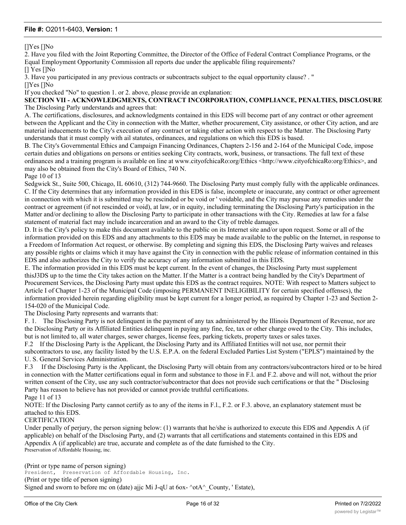[]Yes []No

2. Have you filed with the Joint Reporting Committee, the Director of the Office of Federal Contract Compliance Programs, or the Equal Employment Opportunity Commission all reports due under the applicable filing requirements?

[] Yes []No

3. Have you participated in any previous contracts or subcontracts subject to the equal opportunity clause? . "

[]Yes []No

If you checked "No" to question 1. or 2. above, please provide an explanation:

**SECTION VII - ACKNOWLEDGMENTS, CONTRACT INCORPORATION, COMPLIANCE, PENALTIES, DISCLOSURE** The Disclosing Parly understands and agrees that:

A. The certifications, disclosures, and acknowledgments contained in this EDS will become part of any contract or other agreement between the Applicant and the City in connection with the Matter, whether procurement, City assistance, or other City action, and are material inducements to the City's execution of any contract or taking other action with respect to the Matter. The Disclosing Party understands that it must comply with ail statutes, ordinances, and regulations on which this EDS is based.

B. The City's Governmental Ethics and Campaign Financing Ordinances, Chapters 2-156 and 2-164 of the Municipal Code, impose certain duties and obligations on persons or entities seeking City contracts, work, business, or transactions. The full text of these ordinances and a training program is available on line at www.cityofchicaRo:org/Ethics <http://www.cityofchicaRo:org/Ethics>, and may also be obtained from the City's Board of Ethics, 740 N.

Page 10 of 13

Sedgwick St., Suite 500, Chicago, IL 60610, (312) 744-9660. The Disclosing Party must comply fully with the applicable ordinances. C. If the City determines that any information provided in this EDS is false, incomplete or inaccurate, any contract or other agreement in connection with which it is submitted may be rescinded or be void or ' voidable, and the City may pursue any remedies under the contract or agreement (if not rescinded or void), at law, or in equity, including terminating the Disclosing Party's participation in the Matter and/or declining to allow the Disclosing Party to participate in other transactions with the City. Remedies at law for a false statement of material fact may include incarceration and an award to the City of treble damages.

D. It is the City's policy to make this document available to the public on its Internet site and/or upon request. Some or all of the information provided on this EDS and any attachments to this EDS may be made available to the public on the Internet, in response to a Freedom of Information Act request, or otherwise. By completing and signing this EDS, the Disclosing Party waives and releases any possible rights or claims which it may have against the City in connection with the public release of information contained in this EDS and also authorizes the City to verify the accuracy of any information submitted in this EDS.

E. The information provided in this EDS must be kept current. In the event of changes, the Disclosing Party must supplement thisJ3DS up to the time the City takes action on the Matter. If the Matter is a contract being handled by the City's Department of Procurement Services, the Disclosing Party must update this EDS as the contract requires. NOTE: With respect to Matters subject to Article I of Chapter 1-23 of the Municipal Code (imposing PERMANENT INELIGIBILITY for certain specified offenses), the information provided herein regarding eligibility must be kept current for a longer period, as required by Chapter 1-23 and Section 2- 154-020 of the Municipal Code.

The Disclosing Party represents and warrants that:

F. 1. The Disclosing Party is not delinquent in the payment of any tax administered by the Illinois Department of Revenue, nor are the Disclosing Party or its Affiliated Entities delinquent in paying any fine, fee, tax or other charge owed to the City. This includes, but is not limited to, all water charges, sewer charges, license fees, parking tickets, property taxes or sales taxes.

F.2 If the Disclosing Party is the Applicant, the Disclosing Party and its Affiliated Entities will not use, nor permit their subcontractors to use, any facility listed by the U.S. E.P.A. on the federal Excluded Parties List System ("EPLS") maintained by the U. S. General Services Administration.

F.3 If the Disclosing Party is the Applicant, the Disclosing Party will obtain from any contractors/subcontractors hired or to be hired in connection with the Matter certifications equal in form and substance to those in F.l. and F.2. above and will not, without the prior written consent of the City, use any such contractor/subcontractor that does not provide such certifications or that the " Disclosing Party has reason to believe has not provided or cannot provide truthful certifications.

Page 11 of 13

NOTE: If the Disclosing Party cannot certify as to any of the items in F.l., F.2. or F.3. above, an explanatory statement must be attached to this EDS.

#### CERTIFICATION

Under penally of perjury, the person signing below: (1) warrants that he/she is authorized to execute this EDS and Appendix A (if applicable) on behalf of the Disclosing Party, and (2) warrants that all certifications and statements contained in this EDS and Appendix A (if applicable) are true, accurate and complete as of the date furnished to the City. Preservation of Affordable Housing, inc.

(Print or type name of person signing) President, Preservation of Affordable Housing, Inc. (Print or type title of person signing) Signed and sworn to before mc on (date) ajjc Mi J-qU at  $6ox-$  ^otA^\_County, ' Estate),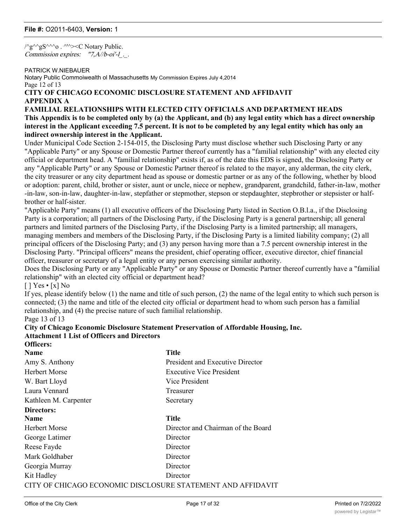/^g^^gS^^^o . ^'^><C Notary Public. Commission expires: "7,A//b-oi'-l...

#### PATRICK W.NIEBAUER

Notary Public Commoiwealth ol Massachusetts My Commission Expires July 4,2014 Page 12 of 13 **CITY OF CHICAGO ECONOMIC DISCLOSURE STATEMENT AND AFFIDAVIT**

## **APPENDIX A**

#### **FAMILIAL RELATIONSHIPS WITH ELECTED CITY OFFICIALS AND DEPARTMENT HEADS This Appendix is to be completed only by (a) the Applicant, and (b) any legal entity which has a direct ownership interest in the Applicant exceeding 7.5 percent. It is not to be completed by any legal entity which has only an indirect ownership interest in the Applicant.**

Under Municipal Code Section 2-154-015, the Disclosing Party must disclose whether such Disclosing Party or any "Applicable Party" or any Spouse or Domestic Partner thereof currently has a "familial relationship" with any elected city official or department head. A "familial relationship" exists if, as of the date this EDS is signed, the Disclosing Party or any "Applicable Party" or any Spouse or Domestic Partner thereof is related to the mayor, any alderman, the city clerk, the city treasurer or any city department head as spouse or domestic partner or as any of the following, whether by blood or adoption: parent, child, brother or sister, aunt or uncle, niece or nephew, grandparent, grandchild, father-in-law, mother -in-law, son-in-law, daughter-in-law, stepfather or stepmother, stepson or stepdaughter, stepbrother or stepsister or halfbrother or half-sister.

"Applicable Party" means (1) all executive officers of the Disclosing Party listed in Section O.B.l.a., if the Disclosing Party is a corporation; all partners of the Disclosing Party, if the Disclosing Party is a general partnership; all general partners and limited partners of the Disclosing Party, if the Disclosing Party is a limited partnership; all managers, managing members and members of the Disclosing Party, if the Disclosing Party is a limited liability company; (2) all principal officers of the Disclosing Party; and (3) any person having more than a 7.5 percent ownership interest in the Disclosing Party. "Principal officers" means the president, chief operating officer, executive director, chief financial officer, treasurer or secretary of a legal entity or any person exercising similar authority.

Does the Disclosing Party or any "Applicable Party" or any Spouse or Domestic Partner thereof currently have a "familial relationship" with an elected city official or department head?

 $[ ] Yes \cdot [x] No$ 

If yes, please identify below (1) the name and title of such person, (2) the name of the legal entity to which such person is connected; (3) the name and title of the elected city official or department head to whom such person has a familial relationship, and (4) the precise nature of such familial relationship.

Page 13 of 13

#### **City of Chicago Economic Disclosure Statement Preservation of Affordable Housing, Inc. Attachment 1 List of Officers and Directors Officers:**

| <b>Name</b>                                                 | <b>Title</b>                       |
|-------------------------------------------------------------|------------------------------------|
| Amy S. Anthony                                              | President and Executive Director   |
| <b>Herbert Morse</b>                                        | <b>Executive Vice President</b>    |
| W. Bart Lloyd                                               | Vice President                     |
| Laura Vennard                                               | Treasurer                          |
| Kathleen M. Carpenter                                       | Secretary                          |
| Directors:                                                  |                                    |
| <b>Name</b>                                                 | <b>Title</b>                       |
| Herbert Morse                                               | Director and Chairman of the Board |
| George Latimer                                              | Director                           |
| Reese Fayde                                                 | Director                           |
| Mark Goldhaber                                              | Director                           |
| Georgia Murray                                              | Director                           |
| Kit Hadley                                                  | Director                           |
| CITY OF CHICAGO ECONOMIC DISCLOSURE STATEMENT AND AFFIDAVIT |                                    |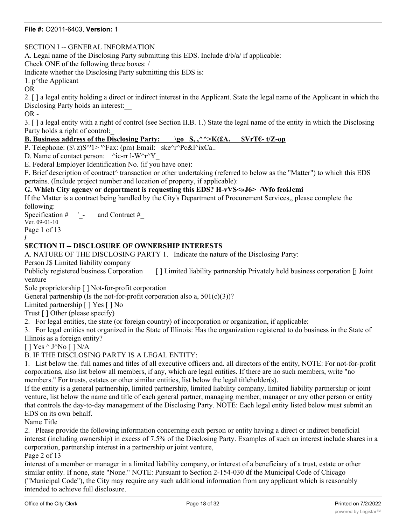### SECTION I -- GENERAL INFORMATION

A. Legal name of the Disclosing Party submitting this EDS. Include d/b/a/ if applicable:

Check ONE of the following three boxes: /

Indicate whether the Disclosing Party submitting this EDS is:

1.  $p^{\wedge}$ the Applicant

OR

2. [ ] a legal entity holding a direct or indirect interest in the Applicant. State the legal name of the Applicant in which the Disclosing Party holds an interest:\_\_

OR -

3. [ ] a legal entity with a right of control (see Section II.B. 1.) State the legal name of the entity in which the Disclosing Party holds a right of control:\_

### **B. Business address of the Disclosing Party: \go S, ,^^>K(£A. \$VrT€- t/Z-op**

P. Telephone:  $(\frac{\hat{S}}{Z})S^{\wedge 1}$  '^Fax: (pm) Email: ske $\hat{C}r^{\wedge 2}Pc\&C^{\wedge 1}XCa$ .

D. Name of contact person:  $\text{Pic-rr } l-W \text{Tr}Y$ 

E. Federal Employer Identification No. (if you have one):

F. Brief description of contract^ transaction or other undertaking (referred to below as the "Matter") to which this EDS pertains. (Include project number and location of property, if applicable):

#### **G. Which City agency or department is requesting this EDS? H-vVS<»J6> /Wfo feoiJcmi**

If the Matter is a contract being handled by the City's Department of Procurement Services,, please complete the following:

Specification  $\#$  ' - and Contract  $\#$ 

Ver. 09-01-10 Page 1 of 13

**/**

### **SECTION II -- DISCLOSURE OF OWNERSHIP INTERESTS**

A. NATURE OF THE DISCLOSING PARTY 1. Indicate the nature of the Disclosing Party:

Person J\$ Limited liability company

Publicly registered business Corporation [ ] Limited liability partnership Privately held business corporation [ Joint venture

Sole proprietorship [ ] Not-for-profit corporation

General partnership (Is the not-for-profit corporation also a,  $501(c)(3)$ )?

Limited partnership [ ] Yes [ ] No

Trust [ ] Other (please specify)

2. For legal entities, the state (or foreign country) of incorporation or organization, if applicable:

3. For legal entities not organized in the State of Illinois: Has the organization registered to do business in the State of Illinois as a foreign entity?

 $[$  | Yes ^ J^No  $[$  | N/A

B. IF THE DISCLOSING PARTY IS A LEGAL ENTITY:

1. List below the. full names and titles of all executive officers and. all directors of the entity, NOTE: For not-for-profit corporations, also list below all members, if any, which are legal entities. If there are no such members, write "no members." For trusts, estates or other similar entities, list below the legal titleholder(s).

If the entity is a general partnership, limited partnership, limited liability company, limited liability partnership or joint venture, list below the name and title of each general partner, managing member, manager or any other person or entity that controls the day-to-day management of the Disclosing Party. NOTE: Each legal entity listed below must submit an EDS on its own behalf.

Name Title

2. Please provide the following information concerning each person or entity having a direct or indirect beneficial interest (including ownership) in excess of 7.5% of the Disclosing Party. Examples of such an interest include shares in a corporation, partnership interest in a partnership or joint venture,

Page 2 of 13

interest of a member or manager in a limited liability company, or interest of a beneficiary of a trust, estate or other similar entity. If none, state "None." NOTE: Pursuant to Section 2-154-030 df the Municipal Code of Chicago ("Municipal Code"), the City may require any such additional information from any applicant which is reasonably intended to achieve full disclosure.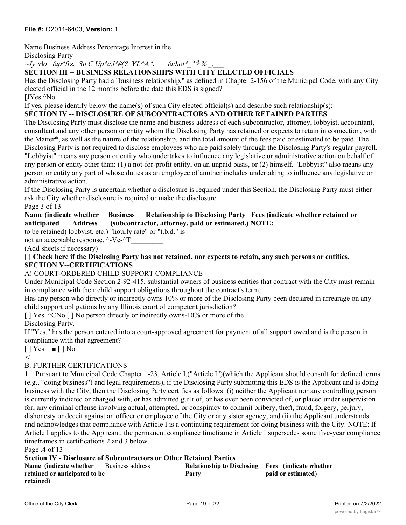Name Business Address Percentage Interest in the

Disclosing Party

 $\sim$ Jy $\gamma$ r $\sim$  fap $\gamma$ frz. So C Up\*c.l\*#(?. YL $\gamma$ A $\land$  fa/hot\* \* $\frac{9}{8}$  %

#### **SECTION III -- BUSINESS RELATIONSHIPS WITH CITY ELECTED OFFICIALS**

Has the Disclosing Party had a "business relationship," as defined in Chapter 2-156 of the Municipal Code, with any City elected official in the 12 months before the date this EDS is signed?

[J $Yes \,^{\wedge}No$ .

If yes, please identify below the name(s) of such City elected official(s) and describe such relationship(s):

#### **SECTION IV -- DISCLOSURE OF SUBCONTRACTORS AND OTHER RETAINED PARTIES**

The Disclosing Party must.disclose the name and business address of each subcontractor, attorney, lobbyist, accountant, consultant and any other person or entity whom the Disclosing Party has retained or expects to retain in connection, with the Matter\*, as well as the nature of the relationship, and the total amount of the fees paid or estimated to be paid. The Disclosing Party is not required to disclose employees who are paid solely through the Disclosing Party's regular payroll. "Lobbyist" means any person or entity who undertakes to influence any legislative or administrative action on behalf of any person or entity other than: (1) a not-for-profit entity, on an unpaid basis, or (2) himself. "Lobbyist" also means any person or entity any part of whose duties as an employee of another includes undertaking to influence any legislative or administrative action.

If the Disclosing Party is uncertain whether a disclosure is required under this Section, the Disclosing Party must either ask the City whether disclosure is required or make the disclosure.

Page 3 of 13

#### **Name (indicate whether Business Relationship to Disclosing Party Fees (indicate whether retained or anticipated Address (subcontractor, attorney, paid or estimated.) NOTE:**

to be retained) lobbyist, etc.) "hourly rate" or "t.b.d." is

not an acceptable response.  $\lambda$ -Ve- $\lambda$ T

(Add sheets if necessary)

**[ ] Check here if the Disclosing Party has not retained, nor expects to retain, any such persons or entities. SECTION V--CERTIFICATIONS**

#### A! COURT-ORDERED CHILD SUPPORT COMPLIANCE

Under Municipal Code Section 2-92-415, substantial owners of business entities that contract with the City must remain in compliance with their child support obligations throughout the contract's term.

Has any person who directly or indirectly owns 10% or more of the Disclosing Party been declared in arrearage on any child support obligations by any Illinois court of competent jurisdiction?

 $[$  | Yes .^CNo  $[$  | No person directly or indirectly owns-10% or more of the

Disclosing Party.

If "Yes," has the person entered into a court-approved agreement for payment of all support owed and is the person in compliance with that agreement?

 $[$  ] Yes  $\blacksquare$  [ ] No  $\,<\,$ 

#### B. FURTHER CERTIFICATIONS

1. Pursuant to Municipal Code Chapter 1-23, Article I.("Article I")(which the Applicant should consult for defined terms (e.g., "doing business") and legal requirements), if the Disclosing Party submitting this EDS is the Applicant and is doing business with the City, then the Disclosing Party certifies as follows: (i) neither the Applicant nor any controlling person is currently indicted or charged with, or has admitted guilt of, or has ever been convicted of, or placed under supervision for, any criminal offense involving actual, attempted, or conspiracy to commit bribery, theft, fraud, forgery, perjury, dishonesty or deceit against an officer or employee of the City or any sister agency; and (ii) the Applicant understands and acknowledges that compliance with Article I is a continuing requirement for doing business with the City. NOTE: If Article I applies to the Applicant, the permanent compliance timeframe in Article I supersedes some five-year compliance timeframes in certifications 2 and 3 below.

Page .4 of 13

**Section IV - Disclosure of Subcontractors or Other Retained Parties**

Grayslake, IL 600300 (IL 600300)

| <b>Name</b> (indicate whether Business address | Relationship to Disclosing Fees (indicate whether |                    |
|------------------------------------------------|---------------------------------------------------|--------------------|
| retained or anticipated to be                  | Party                                             | paid or estimated) |
| retained)                                      |                                                   |                    |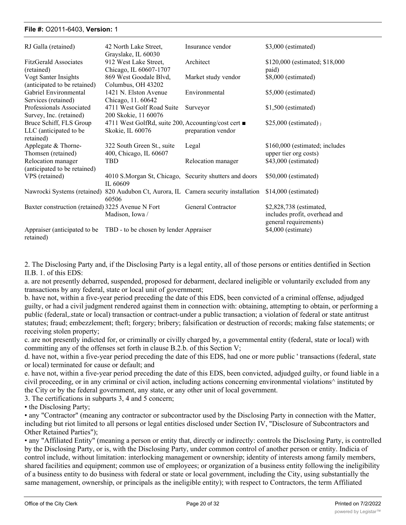#### **File #:** O2011-6403, Version: 1 Business address **Relationship to Disclosing**

| RJ Galla (retained)                                            | 42 North Lake Street,<br>Grayslake, IL 60030                          | Insurance vendor    | \$3,000 (estimated)                                                               |
|----------------------------------------------------------------|-----------------------------------------------------------------------|---------------------|-----------------------------------------------------------------------------------|
| <b>FitzGerald Associates</b><br>(retained)                     | 912 West Lake Street,<br>Chicago, IL 60607-1707                       | Architect           | \$120,000 (estimated; \$18,000)<br>paid)                                          |
| Vogt Santer Insights<br>(anticipated to be retained)           | 869 West Goodale Blvd,<br>Columbus, OH 43202                          | Market study vendor | \$8,000 (estimated)                                                               |
| Gabriel Environmental<br>Services (retained)                   | 1421 N. Elston Avenue<br>Chicago, 11.60642                            | Environmental       | \$5,000 (estimated)                                                               |
| Professionals Associated<br>Survey, Inc. (retained)            | 4711 West Golf Road Suite<br>200 Skokie, 11 60076                     | Surveyor            | $$1,500$ (estimated)                                                              |
| Bruce Schiff, FLS Group<br>LLC (anticipated to be<br>retained) | 4711 West GolfRd, suite 200, Accounting/cost cert<br>Skokie, IL 60076 | preparation vendor  | \$25,000 (estimated) $\frac{1}{1}$                                                |
| Applegate & Thorne-<br>Thomsen (retained)                      | 322 South Green St., suite<br>400, Chicago, IL 60607                  | Legal               | \$160,000 (estimated; includes<br>upper tier org costs)                           |
| Relocation manager<br>(anticipated to be retained)             | TBD                                                                   | Relocation manager  | \$43,000 (estimated)                                                              |
| VPS (retained)                                                 | 4010 S.Morgan St, Chicago, Security shutters and doors<br>IL 60609    |                     | \$50,000 (estimated)                                                              |
| Nawrocki Systems (retained)                                    | 820 Audubon Ct, Aurora, IL Camera security installation<br>60506      |                     | $$14,000$ (estimated)                                                             |
| Baxter construction (retained) 3225 Avenue N Fort              | Madison, Iowa /                                                       | General Contractor  | \$2,828,738 (estimated,<br>includes profit, overhead and<br>general requirements) |
| Appraiser (anticipated to be<br>retained)                      | TBD - to be chosen by lender Appraiser                                |                     | \$4,000 (estimate)                                                                |

**Fees (indicate whether**

2. The Disclosing Party and, if the Disclosing Party is a legal entity, all of those persons or entities dentified in Section II.B. 1. of this EDS:

a. are not presently debarred, suspended, proposed for debarment, declared ineligible or voluntarily excluded from any transactions by any federal, state or local unit of government;

b. have not, within a five-year period preceding the date of this EDS, been convicted of a criminal offense, adjudged guilty, or had a civil judgment rendered against them in connection with: obtaining, attempting to obtain, or performing a public (federal,.state or local) transaction or contract-under a public transaction; a violation of federal or state antitrust statutes; fraud; embezzlement; theft; forgery; bribery; falsification or destruction of records; making false statements; or receiving stolen property;

c. are not presently indicted for, or criminally or civilly charged by, a governmental entity (federal, state or local) with committing any of the offenses set forth in clause B.2.b. of this Section V;

d. have not, within a five-year period preceding the date of this EDS, had one or more public ' transactions (federal, state or local) terminated for cause or default; and

e. have not, within a five-year period preceding the date of this EDS, been convicted, adjudged guilty, or found liable in a civil proceeding, or in any criminal or civil action, including actions concerning environmental violations^ instituted by the City or by the federal government, any state, or any other unit of local government.

3. The certifications in subparts 3, 4 and 5 concern;

• the Disclosing Party;

• any "Contractor" (meaning any contractor or subcontractor used by the Disclosing Party in connection with the Matter, including but riot limited to all persons or legal entities disclosed under Section IV, "Disclosure of Subcontractors and Other Retained Parties");

• any "Affiliated Entity" (meaning a person or entity that, directly or indirectly: controls the Disclosing Party, is controlled by the Disclosing Party, or is, with the Disclosing Party, under common control of another person or entity. Indicia of control include, without limitation: interlocking management or ownership; identity of interests among family members, shared facilities and equipment; common use of employees; or organization of a business entity following the ineligibility of a business entity to do business with federal or state or local government, including the City, using substantially the same management, ownership, or principals as the ineligible entity); with respect to Contractors, the term Affiliated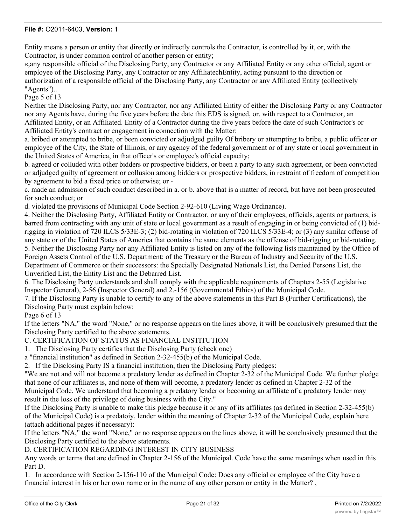Entity means a person or entity that directly or indirectly controls the Contractor, is controlled by it, or, with the Contractor, is under common control of another person or entity;

«,any responsible official of the Disclosing Party, any Contractor or any Affiliated Entity or any other official, agent or employee of the Disclosing Party, any Contractor or any AffiliatechEntity, acting pursuant to the direction or authorization of a responsible official of the Disclosing Party, any Contractor or any Affiliated Entity (collectively "Agents")..

Page 5 of 13

Neither the Disclosing Party, nor any Contractor, nor any Affiliated Entity of either the Disclosing Party or any Contractor nor any Agents have, during the five years before the date this EDS is signed, or, with respect to a Contractor, an Affiliated Entity, or an Affiliated. Entity of a Contractor during the five years before the date of such Contractor's or Affiliated Entity's contract or engagement in connection with the Matter:

a. bribed or attempted to bribe, or been convicted or adjudged guilty Of bribery or attempting to bribe, a public officer or employee of the City, the State of Illinois, or any agency of the federal government or of any state or local government in the United States of America, in that officer's or employee's official capacity;

b. agreed or colluded with other bidders or prospective bidders, or been a party to any such agreement, or been convicted or adjudged guilty of agreement or collusion among bidders or prospective bidders, in restraint of freedom of competition by agreement to bid a fixed price or otherwise; or -

c. made an admission of such conduct described in a. or b. above that is a matter of record, but have not been prosecuted for such conduct; or

d. violated the provisions of Municipal Code Section 2-92-610 (Living Wage Ordinance).

4. Neither the Disclosing Party, Affiliated Entity or Contractor, or any of their employees, officials, agents or partners, is barred from contracting with any unit of state or local government as a result of engaging in or being convicted of (1) bidrigging in violation of 720 ILCS 5/33E-3; (2) bid-rotating in violation of 720 ILCS 5/33E-4; or (3) any similar offense of any state or of the United States of America that contains the same elements as the offense of bid-rigging or bid-rotating. 5. Neither the Disclosing Party nor any Affiliated Entity is listed on any of the following lists maintained by the Office of Foreign Assets Control of the U.S. Department: of the Treasury or the Bureau of Industry and Security of the U.S. Department of Commerce or their successors: the Specially Designated Nationals List, the Denied Persons List, the Unverified List, the Entity List and the Debarred List.

6. The Disclosing Party understands and shall comply with the applicable requirements of Chapters 2-55 (Legislative Inspector General), 2-56 (Inspector General) and 2.-156 (Governmental Ethics) of the Municipal Code.

7. If the Disclosing Party is unable to certify to any of the above statements in this Part B (Further Certifications), the Disclosing Party must explain below:

Page 6 of 13

If the letters "NA," the word "None," or no response appears on the lines above, it will be conclusively presumed that the Disclosing Party certified to the above statements.

C. CERTIFICATION OF STATUS AS FINANCIAL INSTITUTION

1. The Disclosing Party certifies that the Disclosing Party (check one)

a "financial institution" as defined in Section 2-32-455(b) of the Municipal Code.

2. If the Disclosing Party IS a financial institution, then the Disclosing Party pledges:

"We are not and will not become a predatory lender as defined in Chapter 2-32 of the Municipal Code. We further pledge that none of our affiliates is, and none of them will become, a predatory lender as defined in Chapter 2-32 of the Municipal Code. We understand that becoming a predatory lender or becoming an affiliate of a predatory lender may result in the loss of the privilege of doing business with the City."

If the Disclosing Party is unable to make this pledge because it or any of its affiliates (as defined in Section 2-32-455(b) of the Municipal Code) is a predatoiy, lender within the meaning of Chapter 2-32 of the Municipal Code, explain here (attach additional pages if necessary):

If the letters "NA," the word "None," or no response appears on the lines above, it will be conclusively presumed that the Disclosing Party certified to the above statements.

D. CERTIFICATION REGARDING INTEREST IN CITY BUSINESS

Any words or terms that are defined in Chapter 2-156 of the Municipal. Code have the same meanings when used in this Part D.

1. In accordance with Section 2-156-110 of the Municipal Code: Does any official or employee of the City have a financial interest in his or her own name or in the name of any other person or entity in the Matter? ,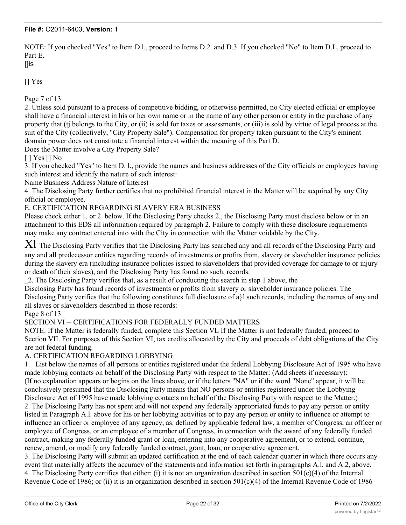NOTE: If you checked "Yes" to Item D.l., proceed to Items D.2. and D.3. If you checked "No" to Item D.L, proceed to Part E.

### []is

[] Yes

Page 7 of 13

2. Unless sold pursuant to a process of competitive bidding, or otherwise permitted, no City elected official or employee shall have a financial interest in his or her own name or in the name of any other person or entity in the purchase of any property that (tj belongs to the City, or (ii) is sold for taxes or assessments, or (iii) is sold by virtue of legal process at the suit of the City (collectively, "City Property Sale"). Compensation for property taken pursuant to the City's eminent domain power does not constitute a financial interest within the meaning of this Part D.

Does the Matter involve a City Property Sale?

[ ] Yes [] No

3. If you checked "Yes" to Item D. l., provide the names and business addresses of the City officials or employees having such interest and identify the nature of such interest:

Name Business Address Nature of Interest

4. The Disclosing Party further certifies that no prohibited financial interest in the Matter will be acquired by any City official or employee.

E. CERTIFICATION REGARDING SLAVERY ERA BUSINESS

Please check either 1. or 2. below. If the Disclosing Party checks 2., the Disclosing Party must disclose below or in an attachment to this EDS all information required by paragraph 2. Failure to comply with these disclosure requirements may make any contract entered into with the City in connection with the Matter voidable by the City.

 $XI$  The Disclosing Party verifies that the Disclosing Party has searched any and all records of the Disclosing Party and any and all predecessor entities regarding records of investments or profits from, slavery or slaveholder insurance policies during the slavery era (including insurance policies issued to slaveholders that provided coverage for damage to or injury or death of their slaves), and the Disclosing Party has found no such, records.

\_2. The Disclosing Party verifies that, as a result of conducting the search in step 1 above, the

Disclosing Party has found records of investments or profits from slavery or slaveholder insurance policies. The Disclosing Party verifies that the following constitutes full disclosure of a}l such records, including the names of any and all slaves or slaveholders described in those records:

Page 8 of 13

SECTION VI -- CERTIFICATIONS FOR FEDERALLY FUNDED MATTERS

NOTE: If the Matter is federally funded, complete this Section VL If the Matter is not federally funded, proceed to Section VII. For purposes of this Section VI, tax credits allocated by the City and proceeds of debt obligations of the City are not federal funding.

A. CERTIFICATION REGARDING LOBBYING

1. List below the names of all persons or entities registered under the federal Lobbying Disclosure Act of 1995 who have made lobbying contacts on behalf of the Disclosing Party with respect to the Matter: (Add sheets if necessary): (If no explanation appears or begins on the lines above, or if the letters "NA" or if the word "None" appear, it will be conclusively presumed that the Disclosing Party means that NO persons or entities registered under the Lobbying Disclosure Act of 1995 have made lobbying contacts on behalf of the Disclosing Party with respect to the Matter.) 2. The Disclosing Party has not spent and will not expend any federally appropriated funds to pay any person or entity listed in Paragraph A.l. above for his or her lobbying activities or to pay any person or entity to influence or attempt to influence an officer or employee of any agency, as. defined by applicable federal law, a member of Congress, an officer or employee of Congress, or an employee of a member of Congress, in connection with the award of any federally funded contract, making any federally funded grant or loan, entering into any cooperative agreement, or to extend, continue, renew, amend, or modify any federally funded contract, grant, loan, or cooperative agreement.

3. The Disclosing Party will submit an updated certification at the end of each calendar quarter in which there occurs any event that materially affects the accuracy of the statements and information set forth in.paragraphs A.l. and A.2, above. 4. The Disclosing Party certifies that either: (i) it is not an organization described in section  $501(c)(4)$  of the Internal Revenue Code of 1986; or (ii) it is an organization described in section  $501(c)(4)$  of the Internal Revenue Code of 1986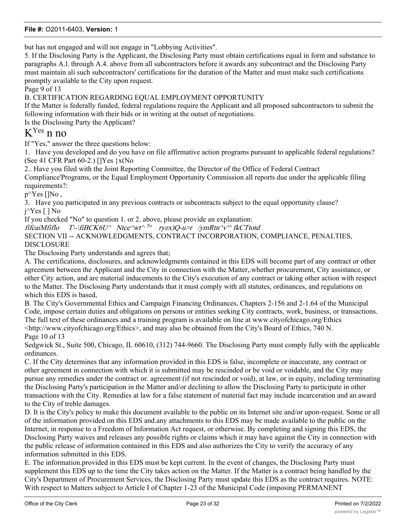but has not engaged and will not engage in "Lobbying Activities".

5. If the Disclosing Party is the Applicant, the Disclosing Party must obtain certifications equal in form and substance to paragraphs A.l. through A.4. above from all subcontractors before it awards any subcontract and the Disclosing Party must maintain ali such subcontractors' certifications for the duration of the Matter and must make such certifications promptly available to the City upon request.

Page 9 of 13

B. CERTIFICATION REGARDING EQUAL EMPLOYMENT OPPORTUNITY

If the Matter is federally funded, federal regulations require the Applicant and all proposed subcontractors to submit the following information with their bids or in writing at the outset of negotiations.

Is the Disclosing Party the Applicant?

# $K<sup>Yes</sup>$  n no

If "Yes," answer the three questions below:

1. Have you developed and do you have on file affirmative action programs pursuant to applicable federal regulations? (See 41 CFR Part 60-2.) []Yes }x(No

2.. Have you filed with the Joint Reporting Committee, the Director of the Office of Federal Contract Compliance'Programs, or the Equal Employment Opportunity Commission all reports due under the applicable filing requirements?:

 $p^{\wedge}Yes$  []No,

3. Have you participated in any previous contracts or subcontracts subject to the equal opportunity clause? j^Yes [ ] No

If you checked "No" to question 1. or 2. above, please provide an explanation:

fifcaiMfiflo T\-\fiBCK6U^ Ntce^wt^ <sup>To</sup> ryzx)Q-u>r /ymRtn^v'^ fkCTtotd

SECTION VII -- ACKNOWLEDGMENTS, CONTRACT INCORPORATION, COMPLIANCE, PENALTIES, DISCLOSURE

The Disclosing Party understands and agrees that;

A. The certifications, disclosures, and acknowledgments contained in this EDS will become part of any contract or other agreement between the Applicant and the City in connection with the Matter,.whether procurement, City assistance, or other City action, and are material inducements to the City's execution of any contract or taking other action with respect to the Matter. The Disclosing Party understands that it must comply with all statutes, ordinances, and regulations on which this EDS is based,

B. The City's Governmental Ethics and Campaign Financing Ordinances, Chapters 2-156 and 2-1.64 of the Municipal Code, impose certain duties and obligations on persons or entities seeking City contracts, work, business, or transactions. The full text of these ordinances and a training program is available on line at www.cityofchicago.org/Ethics <http://www.cityofchicago.org/Ethics>, and may also be obtained from the City's Board of Ethics, 740 N.

Page 10 of 13

Sedgwick St., Suite 500, Chicago, IL 60610, (312) 744-9660. The Disclosing Party must comply fully with the applicable ordinances.

C. If the City determines that any information provided in this EDS is false, incomplete or inaccurate, any contract or other agreement in connection with which it is submitted may be rescinded or be void or voidable, and the City may pursue any remedies under the contract or. agreement (if not rescinded or void), at law, or in equity, including terminating the Disclosing Party's participation in the Matter and/or declining to allow the Disclosing Party to participate in other transactions with the City. Remedies at law for a false statement of material fact may include incarceration and an award to the City of treble damages.

D. It is the City's policy to make this document available to the public on its Internet site and/or upon-request. Some or all of the information provided on this EDS and.any attachments to this EDS may be made available to the public on the Internet, in response to a Freedom of Information Act request, or otherwise. By completing and signing this EDS, the Disclosing Party waives and releases any possible rights or claims which it may have against the City in connection with the public release of information contained in this EDS and also authorizes the City to verify the accuracy of any information submitted in this EDS.

E. The information.provided in this EDS must be kept current. In the event of changes, the Disclosing Party must supplement this EDS up to the time the City takes action on the Matter. If the Matter is a contract being handled by the City's Department of Procurement Services, the Disclosing Party must update this EDS as the contract requires. NOTE: With respect to Matters subject to Article I of Chapter 1-23 of the Municipal Code (imposing PERMANENT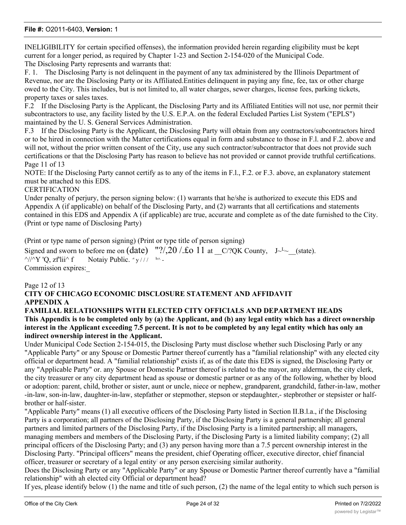INELIGIBILITY for certain specified offenses), the information provided herein regarding eligibility must be kept current for a longer period, as required by Chapter 1-23 and Section 2-154-020 of the Municipal Code. The Disclosing Party represents and warrants that:

F. 1. The Disclosing Party is not delinquent in the payment of any tax administered by the Illinois Department of Revenue, nor are the Disclosing Party or its Affiliated.Entities delinquent in paying any fine, fee, tax or other charge owed to the City. This includes, but is not limited to, all water charges, sewer charges, license fees, parking tickets, property taxes or sales taxes.

F.2 If the Disclosing Party is the Applicant, the Disclosing Party and its Affiliated Entities will not use, nor permit their subcontractors to use, any facility listed by the U.S. E.P.A. on the federal Excluded Parties List System ("EPLS") maintained by the U. S. General Services Administration.

F.3 If the Disclosing Party is the Applicant, the Disclosing Party will obtain from any contractors/subcontractors hired or to be hired in connection with the Matter certifications equal in form and substance to those in F.l. and F.2. above and will not, without the prior written consent of the City, use any such contractor/subcontractor that does not provide such certifications or that the Disclosing Party has reason to believe has not provided or cannot provide truthful certifications. Page 11 of 13

NOTE: If the Disclosing Party cannot certify as to any of the items in F.l., F.2. or F.3. above, an explanatory statement must be attached to this EDS.

#### **CERTIFICATION**

Under penalty of perjury, the person signing below: (1) warrants that he/she is authorized to execute this EDS and Appendix A (if applicable) on behalf of the Disclosing Party, and (2) warrants that all certifications and statements contained in this EDS and Appendix A (if applicable) are true, accurate and complete as of the date furnished to the City. (Print or type name of Disclosing Party)

(Print or type name of person signing) (Print or type title of person signing)

Signed and sworn to before me on (date) "?/,20 /. $\pounds$ o 11 at  $C$ ?QK County, J~L~ (state).  $\frac{\gamma}{\gamma}$  'Q, zflii<sup> $\land$ </sup> f ' y / / / <sup>b</sup> ^ - Commission expires:\_

Page 12 of 13

## **CITY OF CHICAGO ECONOMIC DISCLOSURE STATEMENT AND AFFIDAVIT APPENDIX A**

**FAMILIAL RELATIONSHIPS WITH ELECTED CITY OFFICIALS AND DEPARTMENT HEADS This Appendix is to be completed only by (a) the Applicant, and (b) any legal entity which has a direct ownership interest in the Applicant exceeding 7.5 percent. It is not to be completed by any legal entity which has only an indirect ownership interest in the Applicant.**

Under Municipal Code Section 2-154-015, the Disclosing Party must disclose whether such Disclosing Parly or any "Applicable Party" or any Spouse or Domestic Partner thereof currently has a "familial relationship" with any elected city official or department head. A "familial relationship" exists if, as of the date this EDS is signed, the Disclosing Party or any "Applicable Party" or. any Spouse or Domestic Partner thereof is related to the mayor, any alderman, the city clerk, the city treasurer or any city department head as spouse or domestic partner or as any of the following, whether by blood or adoption: parent, child, brother or sister, aunt or uncle, niece or nephew, grandparent, grandchild, father-in-law, mother -in-law, son-in-law, daughter-in-law, stepfather or stepmother, stepson or stepdaughter,- stepbrother or stepsister or halfbrother or half-sister.

"Applicable Party" means (1) all executive officers of the Disclosing Party listed in Section II.B.l.a., if the Disclosing Party is a corporation; all partners of the Disclosing Party, if the Disclosing Party is a general partnership; all general partners and limited partners of the Disclosing Party, if the Disclosing Party is a limited partnership; all managers, managing members and members of the Disclosing Party, if the Disclosing Party is a limited liability company; (2) all principal officers of the Disclosing Party; and (3) any person having more than a 7.5 percent ownership interest in the Disclosing Party. "Principal officers" means the president, chief Operating officer, executive director, chief financial officer, treasurer or secretary of a legal entity: or any person exercising similar authority.

Does the Disclosing Party or any "Applicable Party" or any Spouse or Domestic Partner thereof currently have a "familial relationship" with ah elected city Official or department head?

If yes, please identify below (1) the name and title of such person, (2) the name of the legal entity to which such person is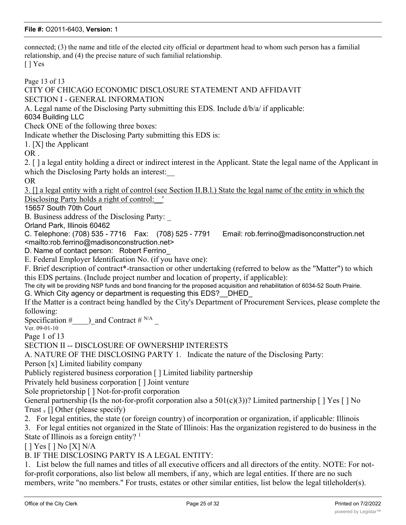connected; (3) the name and title of the elected city official or department head to whom such person has a familial relationship, and (4) the precise nature of such familial relationship. [ ] Yes

Page 13 of 13 CITY OF CHICAGO ECONOMIC DISCLOSURE STATEMENT AND AFFIDAVIT SECTION I - GENERAL INFORMATION A. Legal name of the Disclosing Party submitting this EDS. Include d/b/a/ if applicable: 6034 Building LLC Check ONE of the following three boxes: Indicate whether the Disclosing Party submitting this EDS is: 1. [X] the Applicant OR . 2. [ ] a legal entity holding a direct or indirect interest in the Applicant. State the legal name of the Applicant in which the Disclosing Party holds an interest: OR 3. [] a legal entity with a right of control (see Section II.B.l.) State the legal name of the entity in which the Disclosing Party holds a right of control: ' 15657 South 70th Court B. Business address of the Disclosing Party: Orland Park, Illinois 60462 C. Telephone: (708) 535 - 7716 Fax: (708) 525 - 7791 Email: rob.ferrino@madisonconstruction.net <mailto:rob.ferrino@madisonconstruction.net> D. Name of contact person: Robert Ferrino E. Federal Employer Identification No. (if you have one): F. Brief description of contract\*-transaction or other undertaking (referred to below as the "Matter") to which this EDS pertains. (Include project number and location of property, if applicable): The city will be providing NSP funds and bond financing for the proposed acquisition and rehabilitation of 6034-52 South Prairie. G. Which City agency or department is requesting this EDS?\_\_DHED\_ If the Matter is a contract being handled by the City's Department of Procurement Services, please complete the following: Specification #  $\Box$ ) and Contract # N/A Ver. 09-01-10 Page 1 of 13 SECTION II -- DISCLOSURE OF OWNERSHIP INTERESTS A. NATURE OF THE DISCLOSING PARTY 1. Indicate the nature of the Disclosing Party: Person [x] Limited liability company Publicly registered business corporation [ ] Limited liability partnership Privately held business corporation [ ] Joint venture Sole proprietorship [ ] Not-for-profit corporation General partnership (Is the not-for-profit corporation also a  $501(c)(3)$ )? Limited partnership [] Yes [] No Trust  $_{v}$  [] Other (please specify) 2. For legal entities, the state (or foreign country) of incorporation or organization, if applicable: Illinois 3. For legal entities not organized in the State of Illinois: Has the organization registered to do business in the State of Illinois as a foreign entity?  $1$ [ ] Yes [ ] No [X] N/A B. IF THE DISCLOSING PARTY IS A LEGAL ENTITY: 1. List below the full names and titles of all executive officers and all directors of the entity. NOTE: For notfor-profit corporations, also list below all members, if any, which are legal entities. If there are no such

members, write "no members." For trusts, estates or other similar entities, list below the legal titleholder(s).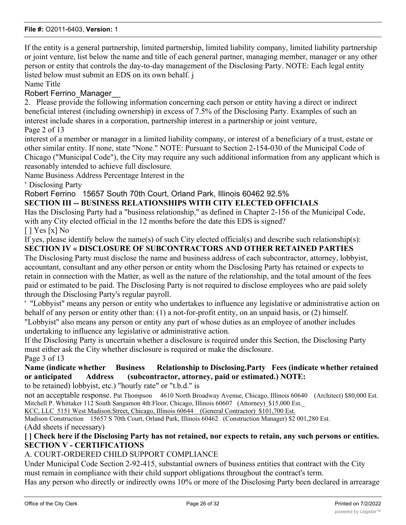If the entity is a general partnership, limited partnership, limited liability company, limited liability partnership or joint venture, list below the name and title of each general partner, managing member, manager or any other person or entity that controls the day-to-day management of the Disclosing Party. NOTE: Each legal entity listed below must submit an EDS on its own behalf. j

Name Title

## Robert Ferrino Manager

2. Please provide the following information concerning each person or entity having a direct or indirect beneficial interest (including ownership) in excess of 7.5% of the Disclosing Party. Examples of such an interest include shares in a corporation, partnership interest in a partnership or joint venture, Page 2 of 13

interest of a member or manager in a limited liability company, or interest of a beneficiary of a trust, estate or other similar entity. If none, state "None." NOTE: Pursuant to Section 2-154-030 of the Municipal Code of Chicago ("Municipal Code"), the City may require any such additional information from any applicant which is reasonably intended to achieve full disclosure.

Name Business Address Percentage Interest in the

v Disclosing Party

Robert Ferrino 15657 South 70th Court, Orland Park, Illinois 60462 92.5%

## **SECTION III -- BUSINESS RELATIONSHIPS WITH CITY ELECTED OFFICIALS**

Has the Disclosing Party had a "business relationship," as defined in Chapter 2-156 of the Municipal Code, with any City elected official in the 12 months before the date this EDS is signed?

[ ] Yes [x] No

If yes, please identify below the name(s) of such City elected official(s) and describe such relationship(s): **SECTION IV « DISCLOSURE OF SUBCONTRACTORS AND OTHER RETAINED PARTIES**

The Disclosing Party must disclose the name and business address of each subcontractor, attorney, lobbyist, accountant, consultant and any other person or entity whom the Disclosing Party has retained or expects to retain in connection with the Matter, as well as the nature of the relationship, and the total amount of the fees paid or estimated to be paid. The Disclosing Party is not required to disclose employees who are paid solely through the Disclosing Party's regular payroll.

' "Lobbyist" means any person or entity who undertakes to influence any legislative or administrative action on behalf of any person or entity other than: (1) a not-for-profit entity, on an unpaid basis, or (2) himself.

"Lobbyist" also means any person or entity any part of whose duties as an employee of another includes undertaking to influence any legislative or administrative action.

If the Disclosing Party is uncertain whether a disclosure is required under this Section, the Disclosing Party must either ask the City whether disclosure is required or make the disclosure.

Page 3 of 13

## **Name (indicate whether Business Relationship to Disclosing.Party Fees (indicate whether retained or anticipated Address (subcontractor, attorney, paid or estimated.) NOTE:**

to be retained) lobbyist, etc.) "hourly rate" or "t.b.d." is

not an acceptable response. Pat Thompson 4610 North Broadway Avenue, Chicago, Illinois 60640 (Architect) \$80,000 Est. Mitchell P. Whittaker 112 South Sangamon 4th Floor, Chicago, Illinois 60607 (Attorney) \$15,000 Est.

KCC, LLC 5151 West Madison.Street, Chicago, Illinois 60644 (General Contractor) \$101,700 Est.

Madison Construction 15657 S 70th Court, Orland Park, Illinois 60462 (Construction Manager) \$2 001,280 Est. (Add sheets if necessary)

## **[ ] Check here if the Disclosing Party has not retained, nor expects to retain, any such persons or entities. SECTION V - CERTIFICATIONS**

## A. COURT-ORDERED CHILD SUPPORT COMPLIANCE

Under Municipal Code Section 2-92-415, substantial owners of business entities that contract with the City must remain in compliance with their child support obligations throughout the contract's term.

Has any person who directly or indirectly owns 10% or more of the Disclosing Party been declared in arrearage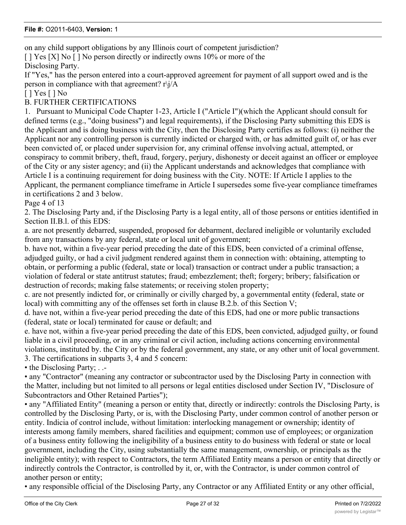on any child support obligations by any Illinois court of competent jurisdiction?

[ ] Yes [X] No [ ] No person directly or indirectly owns 10% or more of the Disclosing Party.

If "Yes," has the person entered into a court-approved agreement for payment of all support owed and is the person in compliance with that agreement? r\j/A

[ ] Yes [ ] No

B. FURTHER CERTIFICATIONS

1. Pursuant to Municipal Code Chapter 1-23, Article I ("Article I")(which the Applicant should consult for defined terms (e.g., "doing business") and legal requirements), if the Disclosing Party submitting this EDS is the Applicant and is doing business with the City, then the Disclosing Party certifies as follows: (i) neither the Applicant nor any controlling person is currently indicted or charged with, or has admitted guilt of, or has ever been convicted of, or placed under supervision for, any criminal offense involving actual, attempted, or conspiracy to commit bribery, theft, fraud, forgery, perjury, dishonesty or deceit against an officer or employee of the City or any sister agency; and (ii) the Applicant understands and acknowledges that compliance with Article I is a continuing requirement for doing business with the City. NOTE: If Article I applies to the Applicant, the permanent compliance timeframe in Article I supersedes some five-year compliance timeframes in certifications 2 and 3 below.

Page 4 of 13

2. The Disclosing Party and, if the Disclosing Party is a legal entity, all of those persons or entities identified in Section II.B.l. of this EDS:

a. are not presently debarred, suspended, proposed for debarment, declared ineligible or voluntarily excluded from any transactions by any federal, state or local unit of government;

b. have not, within a five-year period preceding the date of this EDS, been convicted of a criminal offense, adjudged guilty, or had a civil judgment rendered against them in connection with: obtaining, attempting to obtain, or performing a public (federal, state or local) transaction or contract under a public transaction; a violation of federal or state antitrust statutes; fraud; embezzlement; theft; forgery; bribery; falsification or destruction of records; making false statements; or receiving stolen property;

c. are not presently indicted for, or criminally or civilly charged by, a governmental entity (federal, state or local) with committing any of the offenses set forth in clause B.2.b. of this Section V;

d. have not, within a five-year period preceding the date of this EDS, had one or more public transactions (federal, state or local) terminated for cause or default; and

e. have not, within a five-year period preceding the date of this EDS, been convicted, adjudged guilty, or found liable in a civil proceeding, or in any criminal or civil action, including actions concerning environmental violations, instituted by. the City or by the federal government, any state, or any other unit of local government. 3. The certifications in subparts 3, 4 and 5 concern:

• the Disclosing Party; . .-

• any "Contractor" (meaning any contractor or subcontractor used by the Disclosing Party in connection with the Matter, including but not limited to all persons or legal entities disclosed under Section IV, "Disclosure of Subcontractors and Other Retained Parties");

• any "Affiliated Entity" (meaning a person or entity that, directly or indirectly: controls the Disclosing Party, is controlled by the Disclosing Party, or is, with the Disclosing Party, under common control of another person or entity. Indicia of control include, without limitation: interlocking management or ownership; identity of interests among family members, shared facilities and equipment; common use of employees; or organization of a business entity following the ineligibility of a business entity to do business with federal or state or local government, including the City, using substantially the same management, ownership, or principals as the ineligible entity); with respect to Contractors, the term Affiliated Entity means a person or entity that directly or indirectly controls the Contractor, is controlled by it, or, with the Contractor, is under common control of another person or entity;

• any responsible official of the Disclosing Party, any Contractor or any Affiliated Entity or any other official,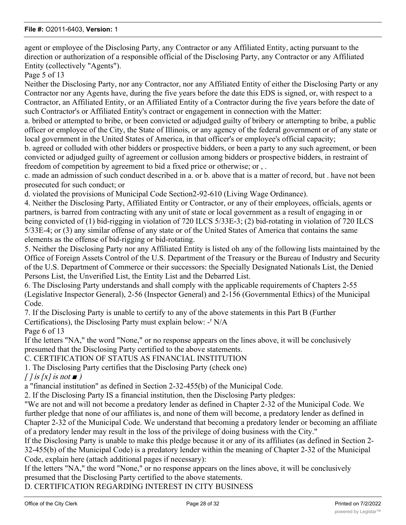agent or employee of the Disclosing Party, any Contractor or any Affiliated Entity, acting pursuant to the direction or authorization of a responsible official of the Disclosing Party, any Contractor or any Affiliated Entity (collectively "Agents").

Page 5 of 13

Neither the Disclosing Party, nor any Contractor, nor any Affiliated Entity of either the Disclosing Party or any Contractor nor any Agents have, during the five years before the date this EDS is signed, or, with respect to a Contractor, an Affiliated Entity, or an Affiliated Entity of a Contractor during the five years before the date of such Contractor's or Affiliated Entity's contract or engagement in connection with the Matter:

a. bribed or attempted to bribe, or been convicted or adjudged guilty of bribery or atternpting to bribe, a public officer or employee of the City, the State of Illinois, or any agency of the federal government or of any state or local government in the United States of America, in that officer's or employee's official capacity;

b. agreed or colluded with other bidders or prospective bidders, or been a party to any such agreement, or been convicted or adjudged guilty of agreement or collusion among bidders or prospective bidders, in restraint of freedom of competition by agreement to bid a fixed price or otherwise; or , .

c. made an admission of such conduct described in a. or b. above that is a matter of record, but . have not been prosecuted for such conduct; or

d. violated the provisions of Municipal Code Section2-92-610 (Living Wage Ordinance).

4. Neither the Disclosing Party, Affiliated Entity or Contractor, or any of their employees, officials, agents or partners, is barred from contracting with any unit of state or local government as a result of engaging in or being convicted of (1) bid-rigging in violation of 720 ILCS 5/33E-3; (2) bid-rotating in violation of 720 ILCS 5/33E-4; or (3) any similar offense of any state or of the United States of America that contains the same elements as the offense of bid-rigging or bid-rotating.

5. Neither the Disclosing Party nor any Affiliated Entity is listed oh any of the following lists maintained by the Office of Foreign Assets Control of the U.S. Department of the Treasury or the Bureau of Industry and Security of the U.S. Department of Commerce or their successors: the Specially Designated Nationals List, the Denied Persons List, the Unverified List, the Entity List and the Debarred List.

6. The Disclosing Party understands and shall comply with the applicable requirements of Chapters 2-55 (Legislative Inspector General), 2-56 (Inspector General) and 2-156 (Governmental Ethics) of the Municipal Code.

7. If the Disclosing Party is unable to certify to any of the above statements in this Part B (Further

Certifications), the Disclosing Party must explain below: -<sup>r</sup> N/A

Page 6 of 13

If the letters "NA," the word "None," or no response appears on the lines above, it will be conclusively presumed that the Disclosing Party certified to the above statements.

C. CERTIFICATION OF STATUS AS FINANCIAL INSTITUTION

1. The Disclosing Party certifies that the Disclosing Party (check one)

 $\int$  *l* is  $\int$  *s* is not  $\blacksquare$ 

a "financial institution" as defined in Section 2-32-455(b) of the Municipal Code.

2. If the Disclosing Party IS a financial institution, then the Disclosing Party pledges:

"We are not and will not become a predatory lender as defined in Chapter 2-32 of the Municipal Code. We further pledge that none of our affiliates is, and none of them will become, a predatory lender as defined in Chapter 2-32 of the Municipal Code. We understand that becoming a predatory lender or becoming an affiliate of a predatory lender may result in the loss of the privilege of doing business with the City."

If the Disclosing Party is unable to make this pledge because it or any of its affiliates (as defined in Section 2- 32-455(b) of the Municipal Code) is a predatory lender within the meaning of Chapter 2-32 of the Municipal Code, explain here (attach additional pages if necessary):

If the letters "NA," the word "None," or no response appears on the lines above, it will be conclusively presumed that the Disclosing Party certified to the above statements.

D. CERTIFICATION REGARDING INTEREST IN CITY BUSINESS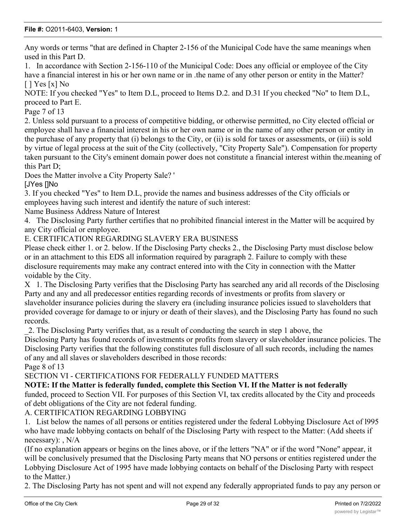Any words or terms "that are defined in Chapter 2-156 of the Municipal Code have the same meanings when used in this Part D.

1. In accordance with Section 2-156-110 of the Municipal Code: Does any official or employee of the City have a financial interest in his or her own name or in .the name of any other person or entity in the Matter?  $[$   $]$  Yes  $[x]$  No

NOTE: If you checked "Yes" to Item D.L, proceed to Items D.2. and D.31 If you checked "No" to Item D.L, proceed to Part E.

Page 7 of 13

2. Unless sold pursuant to a process of competitive bidding, or otherwise permitted, no City elected official or employee shall have a financial interest in his or her own name or in the name of any other person or entity in the purchase of any property that (i) belongs to the City, or (ii) is sold for taxes or assessments, or (iii) is sold by virtue of legal process at the suit of the City (collectively, "City Property Sale"). Compensation for property taken pursuant to the City's eminent domain power does not constitute a financial interest within the.meaning of this Part D;

Does the Matter involve a City Property Sale? '

[JYes []No

3. If you checked "Yes" to Item D.L, provide the names and business addresses of the City officials or employees having such interest and identify the nature of such interest:

Name Business Address Nature of Interest

4. The Disclosing Party further certifies that no prohibited financial interest in the Matter will be acquired by any City official or employee.

E. CERTIFICATION REGARDING SLAVERY ERA BUSINESS

Please check either 1. or 2. below. If the Disclosing Party checks 2., the Disclosing Party must disclose below or in an attachment to this EDS all information required by paragraph 2. Failure to comply with these disclosure requirements may make any contract entered into with the City in connection with the Matter voidable by the City.

X 1. The Disclosing Party verifies that the Disclosing Party has searched any arid all records of the Disclosing Party and any and all predecessor entities regarding records of investments or profits from slavery or slaveholder insurance policies during the slavery era (including insurance policies issued to slaveholders that provided coverage for damage to or injury or death of their slaves), and the Disclosing Party has found no such records.

\_2. The Disclosing Party verifies that, as a result of conducting the search in step 1 above, the

Disclosing Party has found records of investments or profits from slavery or slaveholder insurance policies. The Disclosing Party verifies that the following constitutes full disclosure of all such records, including the names of any and all slaves or slaveholders described in those records:

Page 8 of 13

SECTION VI - CERTIFICATIONS FOR FEDERALLY FUNDED MATTERS

#### **NOTE: If the Matter is federally funded, complete this Section VI. If the Matter is not federally**

funded, proceed to Section VII. For purposes of this Section VI, tax credits allocated by the City and proceeds of debt obligations of the City are not federal funding.

A. CERTIFICATION REGARDING LOBBYING

1. List below the names of all persons or entities registered under the federal Lobbying Disclosure Act of l995 who have made lobbying contacts on behalf of the Disclosing Party with respect to the Matter: (Add sheets if necessary): , N/A

(If no explanation appears or begins on the lines above, or if the letters "NA" or if the word "None" appear, it will be conclusively presumed that the Disclosing Party means that NO persons or entities registered under the Lobbying Disclosure Act of 1995 have made lobbying contacts on behalf of the Disclosing Party with respect to the Matter.)

2. The Disclosing Party has not spent and will not expend any federally appropriated funds to pay any person or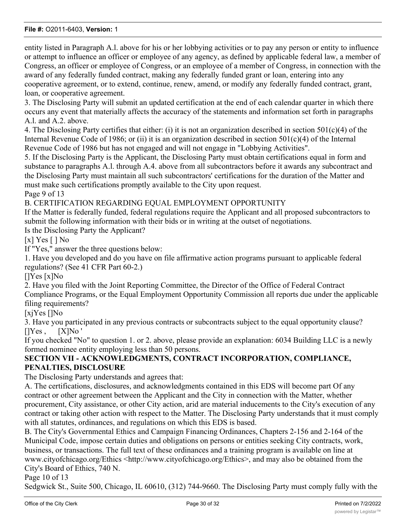entity listed in Paragraph A.l. above for his or her lobbying activities or to pay any person or entity to influence or attempt to influence an officer or employee of any agency, as defined by applicable federal law, a member of Congress, an officer or employee of Congress, or an employee of a member of Congress, in connection with the award of any federally funded contract, making any federally funded grant or loan, entering into any cooperative agreement, or to extend, continue, renew, amend, or modify any federally funded contract, grant, loan, or cooperative agreement.

3. The Disclosing Party will submit an updated certification at the end of each calendar quarter in which there occurs any event that materially affects the accuracy of the statements and information set forth in paragraphs A.l. and A.2. above.

4. The Disclosing Party certifies that either: (i) it is not an organization described in section 501(c)(4) of the Internal Revenue Code of 1986; or (ii) it is an organization described in section  $501(c)(4)$  of the Internal Revenue Code of 1986 but has not engaged and will not engage in "Lobbying Activities".

5. If the Disclosing Party is the Applicant, the Disclosing Party must obtain certifications equal in form and substance to paragraphs A.l. through A.4. above from all subcontractors before it awards any subcontract and the Disclosing Party must maintain all such subcontractors' certifications for the duration of the Matter and must make such certifications promptly available to the City upon request.

Page 9 of 13

B. CERTIFICATION REGARDING EQUAL EMPLOYMENT OPPORTUNITY

If the Matter is federally funded, federal regulations require the Applicant and all proposed subcontractors to submit the following information with their bids or in writing at the outset of negotiations.

Is the Disclosing Party the Applicant?

[x]  $Yes$  [ ] No

If "Yes," answer the three questions below:

1. Have you developed and do you have on file affirmative action programs pursuant to applicable federal regulations? (See 41 CFR Part 60-2.)

[]Yes [x]No

2. Have you filed with the Joint Reporting Committee, the Director of the Office of Federal Contract Compliance Programs, or the Equal Employment Opportunity Commission all reports due under the applicable filing requirements?

[xjYes []No

3. Have you participated in any previous contracts or subcontracts subject to the equal opportunity clause?  $[$ ]Yes ,  $[X]$ No '

If you checked "No" to question 1. or 2. above, please provide an explanation: 6034 Building LLC is a newly formed nominee entity employing less than 50 persons.

## **SECTION VII - ACKNOWLEDGMENTS, CONTRACT INCORPORATION, COMPLIANCE, PENALTIES, DISCLOSURE**

The Disclosing Party understands and agrees that:

A. The certifications, disclosures, and acknowledgments contained in this EDS will become part Of any contract or other agreement between the Applicant and the City in connection with the Matter, whether procurement, City assistance, or other City action, arid are material inducements to the City's execution of any contract or taking other action with respect to the Matter. The Disclosing Party understands that it must comply with all statutes, ordinances, and regulations on which this EDS is based.

B. The City's Governmental Ethics and Campaign Financing Ordinances, Chapters 2-156 and 2-164 of the Municipal Code, impose certain duties and obligations on persons or entities seeking City contracts, work, business, or transactions. The full text of these ordinances and a training program is available on line at www.cityofchicago.org/Ethics <http://www.cityofchicago.org/Ethics>, and may also be obtained from the City's Board of Ethics, 740 N.

Page 10 of 13

Sedgwick St., Suite 500, Chicago, IL 60610, (312) 744-9660. The Disclosing Party must comply fully with the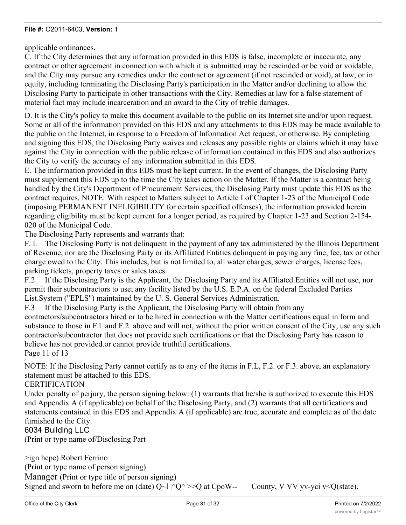applicable ordinances.

V.'

C. If the City determines that any information provided in this EDS is false, incomplete or inaccurate, any contract or other agreement in connection with which it is submitted may be rescinded or be void or voidable, and the City may pursue any remedies under the contract or agreement (if not rescinded or void), at law, or in equity, including terminating the Disclosing Party's participation in the Matter and/or declining to allow the Disclosing Party to participate in other transactions with the City. Remedies at law for a false statement of material fact may include incarceration and an award to the City of treble damages.

D. It is the City's policy to make this document available to the public on its Internet site and/or upon request. Some or all of the information provided on this EDS and any attachments to this EDS may be made available to the public on the Internet, in response to a Freedom of Information Act request, or otherwise. By completing and signing this EDS, the Disclosing Party waives and releases any possible rights or claims which it may have against the City in connection with the public release of information contained in this EDS and also authorizes the City to verify the accuracy of any information submitted in this EDS.

E. The information provided in this EDS must be kept current. In the event of changes, the Disclosing Party must supplement this EDS up to the time the City takes action on the Matter. If the Matter is a contract being handled by the City's Department of Procurement Services, the Disclosing Party must update this EDS as the contract requires. NOTE: With respect to Matters subject to Article I of Chapter 1-23 of the Municipal Code (imposing PERMANENT INELIGIBILITY for certain specified offenses), the information provided herein regarding eligibility must be kept current for a longer period, as required by Chapter 1-23 and Section 2-154- 020 of the Municipal Code.

The Disclosing Party represents and warrants that:

F. l. The Disclosing Party is not delinquent in the payment of any tax administered by the Illinois Department of Revenue, nor are the Disclosing Party or its Affiliated Entities delinquent in paying any fine, fee, tax or other charge owed to the City. This includes, but is not limited to, all water charges, sewer charges, license fees, parking tickets, property taxes or sales taxes.

F.2 If the Disclosing Party is the Applicant, the Disclosing Party and its Affiliated Entities will not use, nor permit their subcontractors to use; any facility listed by the U.S. E.P.A. on the federal Excluded Parties List.System ("EPLS") maintained by the U. S. General Services Administration.

F.3 If the Disclosing Party is the Applicant, the Disclosing Party will obtain from any

contractors/subcontractors hired or to be hired in connection with the Matter certifications equal in form and substance to those in F.l. and F.2. above and will not, without the prior written consent of the City, use any such contractor/subcontractor that does not provide such certifications or that the Disclosing Party has reason to believe has not provided.or cannot provide truthful certifications.

Page 11 of 13

*r*

NOTE: If the Disclosing Party cannot certify as to any of the items in F.L, F.2. or F.3. above, an explanatory statement must be attached to this EDS.

**CERTIFICATION** 

Under penalty of perjury, the person signing below: (1) warrants that he/she is authorized to execute this EDS and Appendix A (if applicable) on behalf of the Disclosing Party, and (2) warrants that all certifications and statements contained in this EDS and Appendix A (if applicable) are true, accurate and complete as of the date furnished to the City.

6034 Building LLC

(Print or type name of/Disclosing Part

>ign hepe) Robert Ferrino (Print or type name of person signing) Manager (Print or type title of person signing) Signed and sworn to before me on (date)  $Q~1 \mid ^{\wedge}Q^{\wedge}$  >>Q at CpoW-- County, V VV yv-yci v<Q(state).